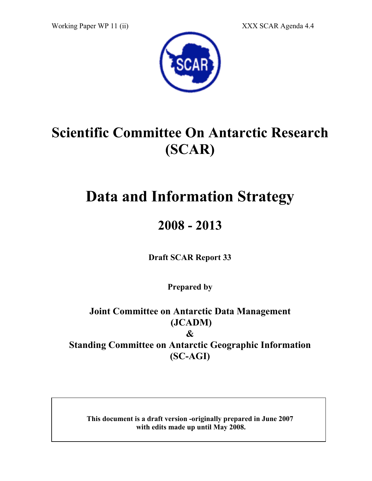Working Paper WP 11 (ii) XXX SCAR Agenda 4.4



# Scientific Committee On Antarctic Research (SCAR)

# Data and Information Strategy

# 2008 - 2013

Draft SCAR Report 33

Prepared by

Joint Committee on Antarctic Data Management (JCADM) & Standing Committee on Antarctic Geographic Information (SC-AGI)

This document is a draft version -originally prepared in June 2007 with edits made up until May 2008.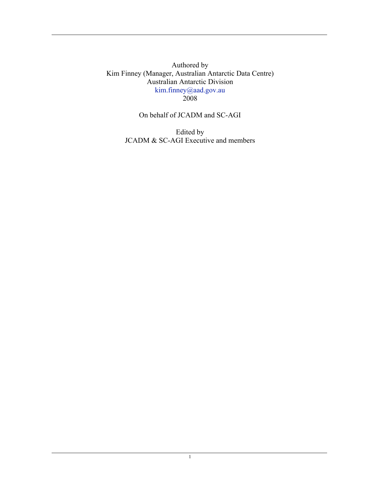Authored by Kim Finney (Manager, Australian Antarctic Data Centre) Australian Antarctic Division kim.finney@aad.gov.au 2008

On behalf of JCADM and SC-AGI

Edited by JCADM & SC-AGI Executive and members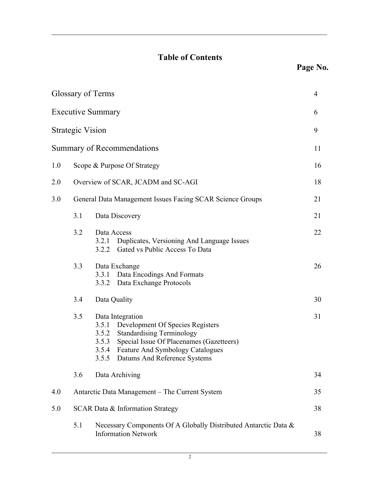# Table of Contents

|     | Glossary of Terms       |                                                                                                                                                                                                                                                              | 4  |
|-----|-------------------------|--------------------------------------------------------------------------------------------------------------------------------------------------------------------------------------------------------------------------------------------------------------|----|
|     |                         | <b>Executive Summary</b>                                                                                                                                                                                                                                     | 6  |
|     | <b>Strategic Vision</b> |                                                                                                                                                                                                                                                              | 9  |
|     |                         | <b>Summary of Recommendations</b>                                                                                                                                                                                                                            | 11 |
| 1.0 |                         | Scope & Purpose Of Strategy                                                                                                                                                                                                                                  | 16 |
| 2.0 |                         | Overview of SCAR, JCADM and SC-AGI                                                                                                                                                                                                                           | 18 |
| 3.0 |                         | General Data Management Issues Facing SCAR Science Groups                                                                                                                                                                                                    | 21 |
|     | 3.1                     | Data Discovery                                                                                                                                                                                                                                               | 21 |
|     | 3.2                     | Data Access<br>3.2.1<br>Duplicates, Versioning And Language Issues<br>3.2.2 Gated vs Public Access To Data                                                                                                                                                   | 22 |
|     | 3.3                     | Data Exchange<br>Data Encodings And Formats<br>3.3.1<br>3.3.2 Data Exchange Protocols                                                                                                                                                                        | 26 |
|     | 3.4                     | Data Quality                                                                                                                                                                                                                                                 | 30 |
|     | 3.5                     | Data Integration<br>Development Of Species Registers<br>3.5.1<br><b>Standardising Terminology</b><br>3.5.2<br>3.5.3<br>Special Issue Of Placenames (Gazetteers)<br><b>Feature And Symbology Catalogues</b><br>3.5.4<br>3.5.5<br>Datums And Reference Systems | 31 |
|     | 3.6                     | Data Archiving                                                                                                                                                                                                                                               | 34 |
| 4.0 |                         | Antarctic Data Management - The Current System                                                                                                                                                                                                               | 35 |
| 5.0 |                         | SCAR Data & Information Strategy                                                                                                                                                                                                                             | 38 |
|     | 5.1                     | Necessary Components Of A Globally Distributed Antarctic Data &<br><b>Information Network</b>                                                                                                                                                                | 38 |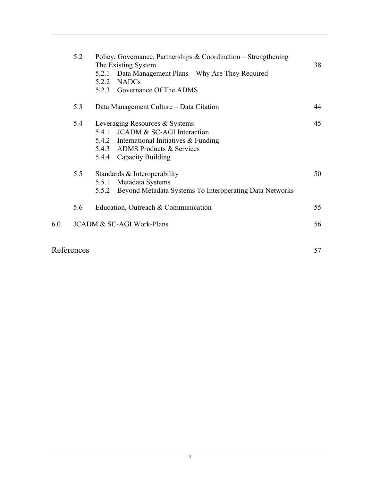|     | 5.2 | Policy, Governance, Partnerships & Coordination – Strengthening<br>The Existing System | 38 |
|-----|-----|----------------------------------------------------------------------------------------|----|
|     |     | 5.2.1<br>Data Management Plans – Why Are They Required                                 |    |
|     |     | <b>NADCs</b><br>5.2.2                                                                  |    |
|     |     | 5.2.3 Governance Of The ADMS                                                           |    |
|     | 5.3 | Data Management Culture – Data Citation                                                | 44 |
|     | 5.4 | Leveraging Resources & Systems                                                         | 45 |
|     |     | <b>JCADM &amp; SC-AGI Interaction</b><br>5.4.1                                         |    |
|     |     | 5.4.2 International Initiatives & Funding                                              |    |
|     |     | 5.4.3 ADMS Products & Services                                                         |    |
|     |     | 5.4.4 Capacity Building                                                                |    |
|     | 5.5 | Standards & Interoperability                                                           | 50 |
|     |     | Metadata Systems<br>5.5.1                                                              |    |
|     |     | Beyond Metadata Systems To Interoperating Data Networks<br>5.5.2                       |    |
|     | 5.6 | Education, Outreach & Communication                                                    | 55 |
| 6.0 |     | <b>JCADM &amp; SC-AGI Work-Plans</b>                                                   | 56 |
|     |     |                                                                                        |    |
|     |     |                                                                                        |    |

# References 57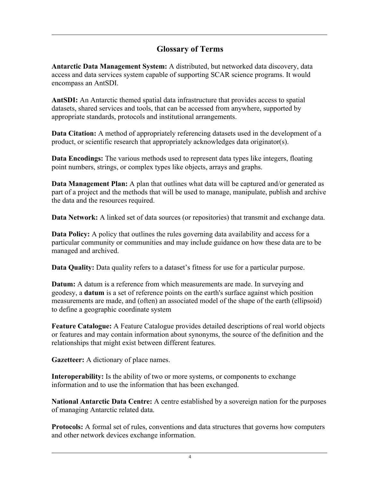### Glossary of Terms

Antarctic Data Management System: A distributed, but networked data discovery, data access and data services system capable of supporting SCAR science programs. It would encompass an AntSDI.

AntSDI: An Antarctic themed spatial data infrastructure that provides access to spatial datasets, shared services and tools, that can be accessed from anywhere, supported by appropriate standards, protocols and institutional arrangements.

Data Citation: A method of appropriately referencing datasets used in the development of a product, or scientific research that appropriately acknowledges data originator(s).

Data Encodings: The various methods used to represent data types like integers, floating point numbers, strings, or complex types like objects, arrays and graphs.

Data Management Plan: A plan that outlines what data will be captured and/or generated as part of a project and the methods that will be used to manage, manipulate, publish and archive the data and the resources required.

Data Network: A linked set of data sources (or repositories) that transmit and exchange data.

Data Policy: A policy that outlines the rules governing data availability and access for a particular community or communities and may include guidance on how these data are to be managed and archived.

Data Quality: Data quality refers to a dataset's fitness for use for a particular purpose.

Datum: A datum is a reference from which measurements are made. In surveying and geodesy, a datum is a set of reference points on the earth's surface against which position measurements are made, and (often) an associated model of the shape of the earth (ellipsoid) to define a geographic coordinate system

Feature Catalogue: A Feature Catalogue provides detailed descriptions of real world objects or features and may contain information about synonyms, the source of the definition and the relationships that might exist between different features.

Gazetteer: A dictionary of place names.

Interoperability: Is the ability of two or more systems, or components to exchange information and to use the information that has been exchanged.

National Antarctic Data Centre: A centre established by a sovereign nation for the purposes of managing Antarctic related data.

Protocols: A formal set of rules, conventions and data structures that governs how computers and other network devices exchange information.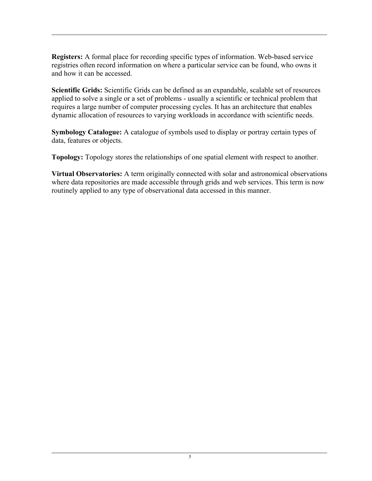Registers: A formal place for recording specific types of information. Web-based service registries often record information on where a particular service can be found, who owns it and how it can be accessed.

Scientific Grids: Scientific Grids can be defined as an expandable, scalable set of resources applied to solve a single or a set of problems - usually a scientific or technical problem that requires a large number of computer processing cycles. It has an architecture that enables dynamic allocation of resources to varying workloads in accordance with scientific needs.

Symbology Catalogue: A catalogue of symbols used to display or portray certain types of data, features or objects.

Topology: Topology stores the relationships of one spatial element with respect to another.

Virtual Observatories: A term originally connected with solar and astronomical observations where data repositories are made accessible through grids and web services. This term is now routinely applied to any type of observational data accessed in this manner.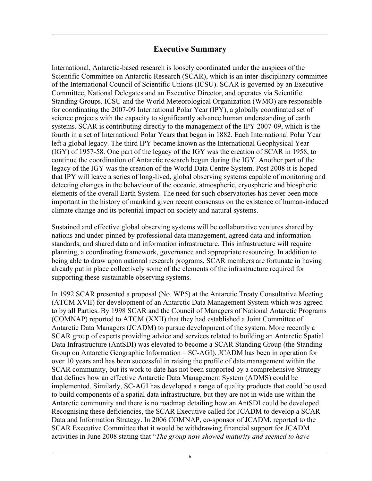### Executive Summary

International, Antarctic-based research is loosely coordinated under the auspices of the Scientific Committee on Antarctic Research (SCAR), which is an inter-disciplinary committee of the International Council of Scientific Unions (ICSU). SCAR is governed by an Executive Committee, National Delegates and an Executive Director, and operates via Scientific Standing Groups. ICSU and the World Meteorological Organization (WMO) are responsible for coordinating the 2007-09 International Polar Year (IPY), a globally coordinated set of science projects with the capacity to significantly advance human understanding of earth systems. SCAR is contributing directly to the management of the IPY 2007-09, which is the fourth in a set of International Polar Years that began in 1882. Each International Polar Year left a global legacy. The third IPY became known as the International Geophysical Year (IGY) of 1957-58. One part of the legacy of the IGY was the creation of SCAR in 1958, to continue the coordination of Antarctic research begun during the IGY. Another part of the legacy of the IGY was the creation of the World Data Centre System. Post 2008 it is hoped that IPY will leave a series of long-lived, global observing systems capable of monitoring and detecting changes in the behaviour of the oceanic, atmospheric, cryospheric and biospheric elements of the overall Earth System. The need for such observatories has never been more important in the history of mankind given recent consensus on the existence of human-induced climate change and its potential impact on society and natural systems.

Sustained and effective global observing systems will be collaborative ventures shared by nations and under-pinned by professional data management, agreed data and information standards, and shared data and information infrastructure. This infrastructure will require planning, a coordinating framework, governance and appropriate resourcing. In addition to being able to draw upon national research programs, SCAR members are fortunate in having already put in place collectively some of the elements of the infrastructure required for supporting these sustainable observing systems.

In 1992 SCAR presented a proposal (No. WP5) at the Antarctic Treaty Consultative Meeting (ATCM XVII) for development of an Antarctic Data Management System which was agreed to by all Parties. By 1998 SCAR and the Council of Managers of National Antarctic Programs (COMNAP) reported to ATCM (XXII) that they had established a Joint Committee of Antarctic Data Managers (JCADM) to pursue development of the system. More recently a SCAR group of experts providing advice and services related to building an Antarctic Spatial Data Infrastructure (AntSDI) was elevated to become a SCAR Standing Group (the Standing Group on Antarctic Geographic Information – SC-AGI). JCADM has been in operation for over 10 years and has been successful in raising the profile of data management within the SCAR community, but its work to date has not been supported by a comprehensive Strategy that defines how an effective Antarctic Data Management System (ADMS) could be implemented. Similarly, SC-AGI has developed a range of quality products that could be used to build components of a spatial data infrastructure, but they are not in wide use within the Antarctic community and there is no roadmap detailing how an AntSDI could be developed. Recognising these deficiencies, the SCAR Executive called for JCADM to develop a SCAR Data and Information Strategy. In 2006 COMNAP, co-sponsor of JCADM, reported to the SCAR Executive Committee that it would be withdrawing financial support for JCADM activities in June 2008 stating that "*The group now showed maturity and seemed to have*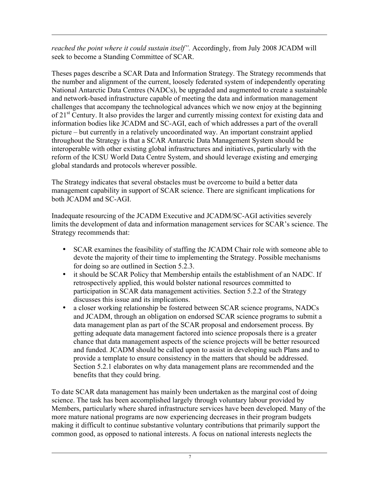*reached the point where it could sustain itself".* Accordingly, from July 2008 JCADM will seek to become a Standing Committee of SCAR.

Theses pages describe a SCAR Data and Information Strategy. The Strategy recommends that the number and alignment of the current, loosely federated system of independently operating National Antarctic Data Centres (NADCs), be upgraded and augmented to create a sustainable and network-based infrastructure capable of meeting the data and information management challenges that accompany the technological advances which we now enjoy at the beginning of 21<sup>st</sup> Century. It also provides the larger and currently missing context for existing data and information bodies like JCADM and SC-AGI, each of which addresses a part of the overall picture – but currently in a relatively uncoordinated way. An important constraint applied throughout the Strategy is that a SCAR Antarctic Data Management System should be interoperable with other existing global infrastructures and initiatives, particularly with the reform of the ICSU World Data Centre System, and should leverage existing and emerging global standards and protocols wherever possible.

The Strategy indicates that several obstacles must be overcome to build a better data management capability in support of SCAR science. There are significant implications for both JCADM and SC-AGI.

Inadequate resourcing of the JCADM Executive and JCADM/SC-AGI activities severely limits the development of data and information management services for SCAR's science. The Strategy recommends that:

- SCAR examines the feasibility of staffing the JCADM Chair role with someone able to devote the majority of their time to implementing the Strategy. Possible mechanisms for doing so are outlined in Section 5.2.3.
- it should be SCAR Policy that Membership entails the establishment of an NADC. If retrospectively applied, this would bolster national resources committed to participation in SCAR data management activities. Section 5.2.2 of the Strategy discusses this issue and its implications.
- a closer working relationship be fostered between SCAR science programs, NADCs and JCADM, through an obligation on endorsed SCAR science programs to submit a data management plan as part of the SCAR proposal and endorsement process. By getting adequate data management factored into science proposals there is a greater chance that data management aspects of the science projects will be better resourced and funded. JCADM should be called upon to assist in developing such Plans and to provide a template to ensure consistency in the matters that should be addressed. Section 5.2.1 elaborates on why data management plans are recommended and the benefits that they could bring.

To date SCAR data management has mainly been undertaken as the marginal cost of doing science. The task has been accomplished largely through voluntary labour provided by Members, particularly where shared infrastructure services have been developed. Many of the more mature national programs are now experiencing decreases in their program budgets making it difficult to continue substantive voluntary contributions that primarily support the common good, as opposed to national interests. A focus on national interests neglects the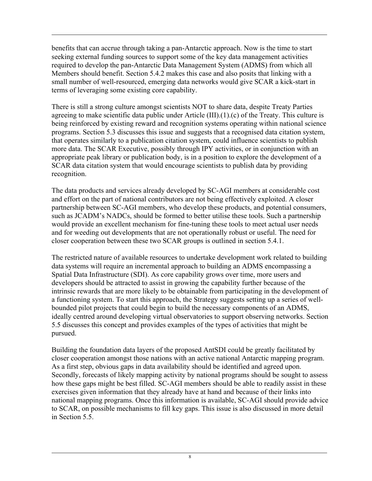benefits that can accrue through taking a pan-Antarctic approach. Now is the time to start seeking external funding sources to support some of the key data management activities required to develop the pan-Antarctic Data Management System (ADMS) from which all Members should benefit. Section 5.4.2 makes this case and also posits that linking with a small number of well-resourced, emerging data networks would give SCAR a kick-start in terms of leveraging some existing core capability.

There is still a strong culture amongst scientists NOT to share data, despite Treaty Parties agreeing to make scientific data public under Article (III).(1).(c) of the Treaty. This culture is being reinforced by existing reward and recognition systems operating within national science programs. Section 5.3 discusses this issue and suggests that a recognised data citation system, that operates similarly to a publication citation system, could influence scientists to publish more data. The SCAR Executive, possibly through IPY activities, or in conjunction with an appropriate peak library or publication body, is in a position to explore the development of a SCAR data citation system that would encourage scientists to publish data by providing recognition.

The data products and services already developed by SC-AGI members at considerable cost and effort on the part of national contributors are not being effectively exploited. A closer partnership between SC-AGI members, who develop these products, and potential consumers, such as JCADM's NADCs, should be formed to better utilise these tools. Such a partnership would provide an excellent mechanism for fine-tuning these tools to meet actual user needs and for weeding out developments that are not operationally robust or useful. The need for closer cooperation between these two SCAR groups is outlined in section 5.4.1.

The restricted nature of available resources to undertake development work related to building data systems will require an incremental approach to building an ADMS encompassing a Spatial Data Infrastructure (SDI). As core capability grows over time, more users and developers should be attracted to assist in growing the capability further because of the intrinsic rewards that are more likely to be obtainable from participating in the development of a functioning system. To start this approach, the Strategy suggests setting up a series of wellbounded pilot projects that could begin to build the necessary components of an ADMS, ideally centred around developing virtual observatories to support observing networks. Section 5.5 discusses this concept and provides examples of the types of activities that might be pursued.

Building the foundation data layers of the proposed AntSDI could be greatly facilitated by closer cooperation amongst those nations with an active national Antarctic mapping program. As a first step, obvious gaps in data availability should be identified and agreed upon. Secondly, forecasts of likely mapping activity by national programs should be sought to assess how these gaps might be best filled. SC-AGI members should be able to readily assist in these exercises given information that they already have at hand and because of their links into national mapping programs. Once this information is available, SC-AGI should provide advice to SCAR, on possible mechanisms to fill key gaps. This issue is also discussed in more detail in Section 5.5.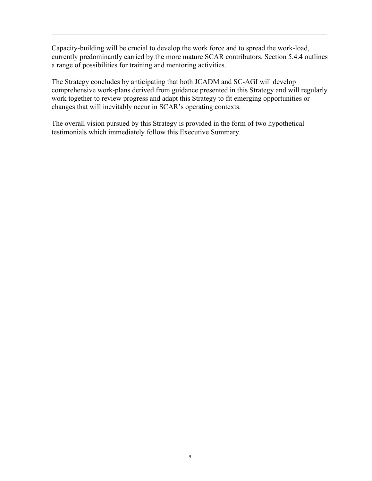Capacity-building will be crucial to develop the work force and to spread the work-load, currently predominantly carried by the more mature SCAR contributors. Section 5.4.4 outlines a range of possibilities for training and mentoring activities.

The Strategy concludes by anticipating that both JCADM and SC-AGI will develop comprehensive work-plans derived from guidance presented in this Strategy and will regularly work together to review progress and adapt this Strategy to fit emerging opportunities or changes that will inevitably occur in SCAR's operating contexts.

The overall vision pursued by this Strategy is provided in the form of two hypothetical testimonials which immediately follow this Executive Summary.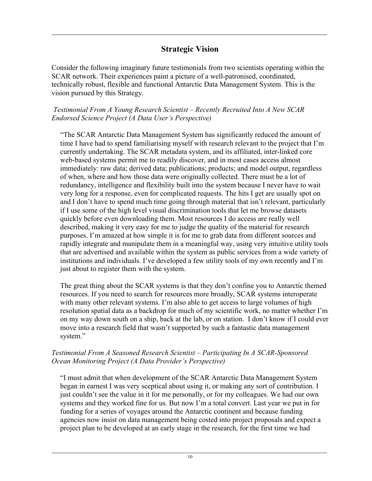## Strategic Vision

Consider the following imaginary future testimonials from two scientists operating within the SCAR network. Their experiences paint a picture of a well-patronised, coordinated, technically robust, flexible and functional Antarctic Data Management System. This is the vision pursued by this Strategy.

#### *Testimonial From A Young Research Scientist – Recently Recruited Into A New SCAR Endorsed Science Project (A Data User's Perspective)*

"The SCAR Antarctic Data Management System has significantly reduced the amount of time I have had to spend familiarising myself with research relevant to the project that I'm currently undertaking. The SCAR metadata system, and its affiliated, inter-linked core web-based systems permit me to readily discover, and in most cases access almost immediately: raw data; derived data; publications; products; and model output, regardless of when, where and how those data were originally collected. There must be a lot of redundancy, intelligence and flexibility built into the system because I never have to wait very long for a response, even for complicated requests. The hits I get are usually spot on and I don't have to spend much time going through material that isn't relevant, particularly if I use some of the high level visual discrimination tools that let me browse datasets quickly before even downloading them. Most resources I do access are really well described, making it very easy for me to judge the quality of the material for research purposes. I'm amazed at how simple it is for me to grab data from different sources and rapidly integrate and manipulate them in a meaningful way, using very intuitive utility tools that are advertised and available within the system as public services from a wide variety of institutions and individuals. I've developed a few utility tools of my own recently and I'm just about to register them with the system.

The great thing about the SCAR systems is that they don't confine you to Antarctic themed resources. If you need to search for resources more broadly, SCAR systems interoperate with many other relevant systems. I'm also able to get access to large volumes of high resolution spatial data as a backdrop for much of my scientific work, no matter whether I'm on my way down south on a ship, back at the lab, or on station. I don't know if I could ever move into a research field that wasn't supported by such a fantastic data management system."

#### *Testimonial From A Seasoned Research Scientist – Participating In A SCAR-Sponsored Ocean Monitoring Project (A Data Provider's Perspective)*

"I must admit that when development of the SCAR Antarctic Data Management System began in earnest I was very sceptical about using it, or making any sort of contribution. I just couldn't see the value in it for me personally, or for my colleagues. We had our own systems and they worked fine for us. But now I'm a total convert. Last year we put in for funding for a series of voyages around the Antarctic continent and because funding agencies now insist on data management being costed into project proposals and expect a project plan to be developed at an early stage in the research, for the first time we had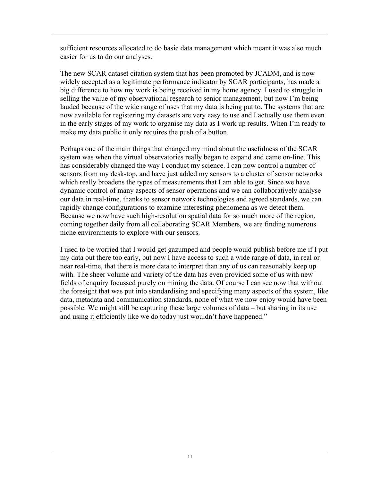sufficient resources allocated to do basic data management which meant it was also much easier for us to do our analyses.

The new SCAR dataset citation system that has been promoted by JCADM, and is now widely accepted as a legitimate performance indicator by SCAR participants, has made a big difference to how my work is being received in my home agency. I used to struggle in selling the value of my observational research to senior management, but now I'm being lauded because of the wide range of uses that my data is being put to. The systems that are now available for registering my datasets are very easy to use and I actually use them even in the early stages of my work to organise my data as I work up results. When I'm ready to make my data public it only requires the push of a button.

Perhaps one of the main things that changed my mind about the usefulness of the SCAR system was when the virtual observatories really began to expand and came on-line. This has considerably changed the way I conduct my science. I can now control a number of sensors from my desk-top, and have just added my sensors to a cluster of sensor networks which really broadens the types of measurements that I am able to get. Since we have dynamic control of many aspects of sensor operations and we can collaboratively analyse our data in real-time, thanks to sensor network technologies and agreed standards, we can rapidly change configurations to examine interesting phenomena as we detect them. Because we now have such high-resolution spatial data for so much more of the region, coming together daily from all collaborating SCAR Members, we are finding numerous niche environments to explore with our sensors.

I used to be worried that I would get gazumped and people would publish before me if I put my data out there too early, but now I have access to such a wide range of data, in real or near real-time, that there is more data to interpret than any of us can reasonably keep up with. The sheer volume and variety of the data has even provided some of us with new fields of enquiry focussed purely on mining the data. Of course I can see now that without the foresight that was put into standardising and specifying many aspects of the system, like data, metadata and communication standards, none of what we now enjoy would have been possible. We might still be capturing these large volumes of data – but sharing in its use and using it efficiently like we do today just wouldn't have happened."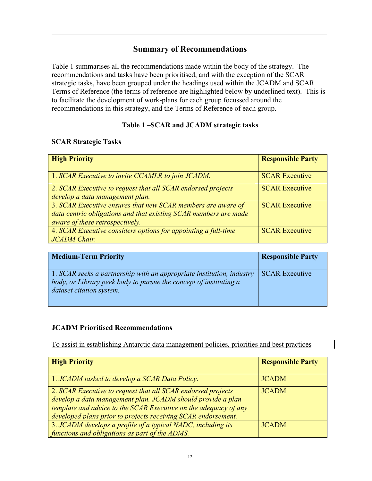#### Summary of Recommendations

Table 1 summarises all the recommendations made within the body of the strategy. The recommendations and tasks have been prioritised, and with the exception of the SCAR strategic tasks, have been grouped under the headings used within the JCADM and SCAR Terms of Reference (the terms of reference are highlighted below by underlined text). This is to facilitate the development of work-plans for each group focussed around the recommendations in this strategy, and the Terms of Reference of each group.

#### Table 1 –SCAR and JCADM strategic tasks

#### SCAR Strategic Tasks

| <b>High Priority</b>                                             | <b>Responsible Party</b> |
|------------------------------------------------------------------|--------------------------|
| 1. SCAR Executive to invite CCAMLR to join JCADM.                | <b>SCAR Executive</b>    |
| 2. SCAR Executive to request that all SCAR endorsed projects     | <b>SCAR Executive</b>    |
| develop a data management plan.                                  |                          |
| 3. SCAR Executive ensures that new SCAR members are aware of     | <b>SCAR Executive</b>    |
| data centric obligations and that existing SCAR members are made |                          |
| aware of these retrospectively.                                  |                          |
| 4. SCAR Executive considers options for appointing a full-time   | <b>SCAR Executive</b>    |
| <b>JCADM</b> Chair.                                              |                          |

| <b>Medium-Term Priority</b>                                                                                                                                            | <b>Responsible Party</b> |
|------------------------------------------------------------------------------------------------------------------------------------------------------------------------|--------------------------|
| 1. SCAR seeks a partnership with an appropriate institution, industry<br>body, or Library peek body to pursue the concept of instituting a<br>dataset citation system. | <b>SCAR Executive</b>    |

#### JCADM Prioritised Recommendations

To assist in establishing Antarctic data management policies, priorities and best practices

| <b>High Priority</b>                                                                                                                                                                                                                                             | <b>Responsible Party</b> |
|------------------------------------------------------------------------------------------------------------------------------------------------------------------------------------------------------------------------------------------------------------------|--------------------------|
| 1. JCADM tasked to develop a SCAR Data Policy.                                                                                                                                                                                                                   | <b>JCADM</b>             |
| 2. SCAR Executive to request that all SCAR endorsed projects<br>develop a data management plan. JCADM should provide a plan<br>template and advice to the SCAR Executive on the adequacy of any<br>developed plans prior to projects receiving SCAR endorsement. | <b>JCADM</b>             |
| 3. JCADM develops a profile of a typical NADC, including its<br>functions and obligations as part of the ADMS.                                                                                                                                                   | <b>JCADM</b>             |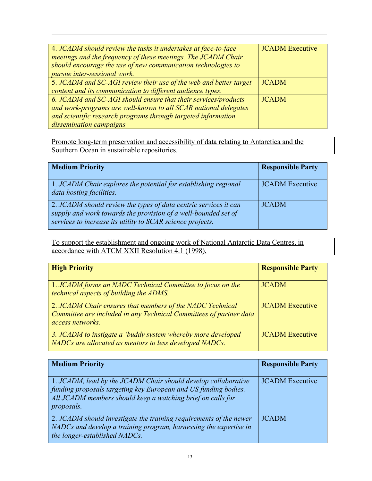| 4. JCADM should review the tasks it undertakes at face-to-face<br>meetings and the frequency of these meetings. The JCADM Chair<br>should encourage the use of new communication technologies to<br>pursue inter-sessional work. | <b>JCADM</b> Executive |
|----------------------------------------------------------------------------------------------------------------------------------------------------------------------------------------------------------------------------------|------------------------|
| 5. JCADM and SC-AGI review their use of the web and better target<br>content and its communication to different audience types.                                                                                                  | <b>JCADM</b>           |
| 6. JCADM and SC-AGI should ensure that their services/products<br>and work-programs are well-known to all SCAR national delegates<br>and scientific research programs through targeted information<br>dissemination campaigns    | <b>JCADM</b>           |

Promote long-term preservation and accessibility of data relating to Antarctica and the Southern Ocean in sustainable repositories.

| <b>Medium Priority</b>                                                                                                                                                                                   | <b>Responsible Party</b> |
|----------------------------------------------------------------------------------------------------------------------------------------------------------------------------------------------------------|--------------------------|
| $\mid$ 1. JCADM Chair explores the potential for establishing regional<br>data hosting facilities.                                                                                                       | <b>JCADM</b> Executive   |
| $\vert$ 2. JCADM should review the types of data centric services it can<br>supply and work towards the provision of a well-bounded set of<br>services to increase its utility to SCAR science projects. | <b>JCADM</b>             |

To support the establishment and ongoing work of National Antarctic Data Centres, in accordance with ATCM XXII Resolution 4.1 (1998),

| <b>High Priority</b>                                                                                                                                | <b>Responsible Party</b> |
|-----------------------------------------------------------------------------------------------------------------------------------------------------|--------------------------|
| 1. JCADM forms an NADC Technical Committee to focus on the<br>technical aspects of building the ADMS.                                               | <b>JCADM</b>             |
| 2. JCADM Chair ensures that members of the NADC Technical<br>Committee are included in any Technical Committees of partner data<br>access networks. | <b>JCADM</b> Executive   |
| 3. JCADM to instigate a 'buddy system whereby more developed<br>NADCs are allocated as mentors to less developed NADCs.                             | <b>JCADM</b> Executive   |

| <b>Medium Priority</b>                                                                                                                                                                                                | <b>Responsible Party</b> |
|-----------------------------------------------------------------------------------------------------------------------------------------------------------------------------------------------------------------------|--------------------------|
| 1. JCADM, lead by the JCADM Chair should develop collaborative<br>funding proposals targeting key European and US funding bodies.<br>All JCADM members should keep a watching brief on calls for<br><i>proposals.</i> | <b>JCADM</b> Executive   |
| 2. JCADM should investigate the training requirements of the newer<br>NADCs and develop a training program, harnessing the expertise in<br>the longer-established NADCs.                                              | <b>JCADM</b>             |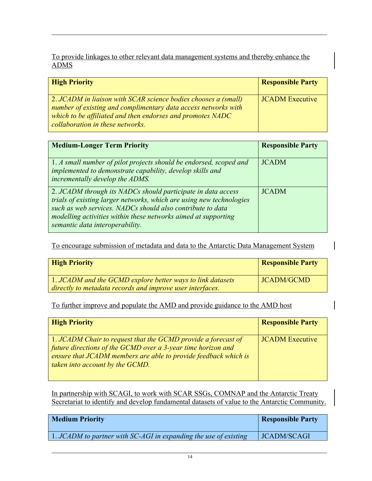To provide linkages to other relevant data management systems and thereby enhance the ADMS

| <b>High Priority</b>                                                                                                                                                                                                               | <b>Responsible Party</b> |
|------------------------------------------------------------------------------------------------------------------------------------------------------------------------------------------------------------------------------------|--------------------------|
| 2. JCADM in liaison with SCAR science bodies chooses a (small)<br>number of existing and complimentary data access networks with<br>which to be affiliated and then endorses and promotes NADC<br>collaboration in these networks. | <b>JCADM</b> Executive   |

| <b>Medium-Longer Term Priority</b>                                                                                                                                                                                                                                                                      | <b>Responsible Party</b> |
|---------------------------------------------------------------------------------------------------------------------------------------------------------------------------------------------------------------------------------------------------------------------------------------------------------|--------------------------|
| $\vert$ 1. A small number of pilot projects should be endorsed, scoped and<br>implemented to demonstrate capability, develop skills and<br>incrementally develop the ADMS.                                                                                                                              | <b>JCADM</b>             |
| 2. JCADM through its NADCs should participate in data access<br>trials of existing larger networks, which are using new technologies<br>such as web services. NADCs should also contribute to data<br>modelling activities within these networks aimed at supporting<br>semantic data interoperability. | <b>JCADM</b>             |

To encourage submission of metadata and data to the Antarctic Data Management System

 $\overline{\phantom{a}}$ 

| <b>High Priority</b>                                       | <b>Responsible Party</b> |
|------------------------------------------------------------|--------------------------|
| 1. JCADM and the GCMD explore better ways to link datasets | <b>JCADM/GCMD</b>        |
| directly to metadata records and improve user interfaces.  |                          |

To further improve and populate the AMD and provide guidance to the AMD host

| <b>High Priority</b>                                                                                                                                                                                                                   | <b>Responsible Party</b> |
|----------------------------------------------------------------------------------------------------------------------------------------------------------------------------------------------------------------------------------------|--------------------------|
| 1. JCADM Chair to request that the GCMD provide a forecast of<br>future directions of the GCMD over a $3$ -year time horizon and<br>ensure that JCADM members are able to provide feedback which is<br>taken into account by the GCMD. | <b>JCADM</b> Executive   |

In partnership with SCAGI, to work with SCAR SSGs, COMNAP and the Antarctic Treaty Secretariat to identify and develop fundamental datasets of value to the Antarctic Community.

| <b>Medium Priority</b>                                                  | <b>Responsible Party</b> |
|-------------------------------------------------------------------------|--------------------------|
| $\mid$ 1. JCADM to partner with SC-AGI in expanding the use of existing | <b>JCADM/SCAGI</b>       |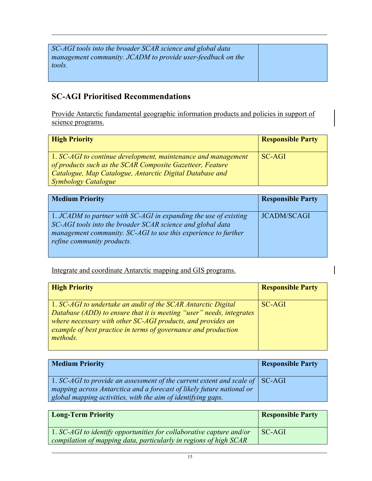| SC-AGI tools into the broader SCAR science and global data  |  |
|-------------------------------------------------------------|--|
| management community. JCADM to provide user-feedback on the |  |
| tools.                                                      |  |
|                                                             |  |

## SC-AGI Prioritised Recommendations

Provide Antarctic fundamental geographic information products and policies in support of science programs.

| <b>High Priority</b>                                                                                                       | <b>Responsible Party</b> |
|----------------------------------------------------------------------------------------------------------------------------|--------------------------|
| 1. SC-AGI to continue development, maintenance and management<br>of products such as the SCAR Composite Gazetteer, Feature | SC-AGI                   |
| Catalogue, Map Catalogue, Antarctic Digital Database and                                                                   |                          |
| <b>Symbology Catalogue</b>                                                                                                 |                          |

| <b>Medium Priority</b>                                                                                                                                                                                                         | <b>Responsible Party</b> |
|--------------------------------------------------------------------------------------------------------------------------------------------------------------------------------------------------------------------------------|--------------------------|
| 1. JCADM to partner with SC-AGI in expanding the use of existing<br>SC-AGI tools into the broader SCAR science and global data<br>management community. SC-AGI to use this experience to further<br>refine community products. | <b>JCADM/SCAGI</b>       |

Integrate and coordinate Antarctic mapping and GIS programs.

| <b>High Priority</b>                                                                                                                                                                                                                                                               | <b>Responsible Party</b> |
|------------------------------------------------------------------------------------------------------------------------------------------------------------------------------------------------------------------------------------------------------------------------------------|--------------------------|
| 1. SC-AGI to undertake an audit of the SCAR Antarctic Digital<br>Database (ADD) to ensure that it is meeting "user" needs, integrates<br>where necessary with other SC-AGI products, and provides an<br>example of best practice in terms of governance and production<br>methods. | SC-AGI                   |

| <b>Medium Priority</b>                                                               | <b>Responsible Party</b> |
|--------------------------------------------------------------------------------------|--------------------------|
| 1. SC-AGI to provide an assessment of the current extent and scale of $\vert$ SC-AGI |                          |
| mapping across Antarctica and a forecast of likely future national or                |                          |
| global mapping activities, with the aim of identifying gaps.                         |                          |

| <b>Long-Term Priority</b>                                                                                                                 | <b>Responsible Party</b> |
|-------------------------------------------------------------------------------------------------------------------------------------------|--------------------------|
| 1. SC-AGI to identify opportunities for collaborative capture and/or<br>compilation of mapping data, particularly in regions of high SCAR | SC-AGI                   |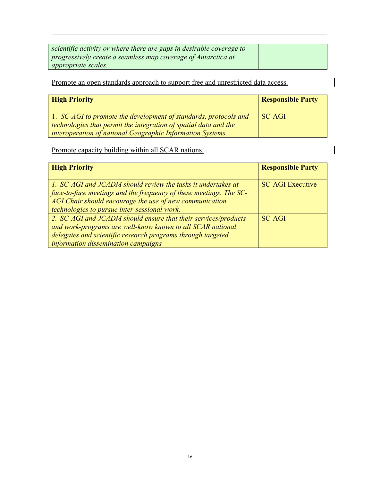| scientific activity or where there are gaps in desirable coverage to |  |
|----------------------------------------------------------------------|--|
| progressively create a seamless map coverage of Antarctica at        |  |
| <i>appropriate scales.</i>                                           |  |

 $\overline{\phantom{a}}$ 

Promote an open standards approach to support free and unrestricted data access.

| <b>High Priority</b>                                             | <b>Responsible Party</b> |
|------------------------------------------------------------------|--------------------------|
| 1. SC-AGI to promote the development of standards, protocols and | SC-AGI                   |
| technologies that permit the integration of spatial data and the |                          |
| interoperation of national Geographic Information Systems.       |                          |

Promote capacity building within all SCAR nations.

| <b>High Priority</b>                                                                                                                                                                                                                                 | <b>Responsible Party</b> |
|------------------------------------------------------------------------------------------------------------------------------------------------------------------------------------------------------------------------------------------------------|--------------------------|
| 1. SC-AGI and JCADM should review the tasks it undertakes at<br>$\int$ face-to-face meetings and the frequency of these meetings. The SC-<br>AGI Chair should encourage the use of new communication<br>technologies to pursue inter-sessional work. | <b>SC-AGI</b> Executive  |
| 2. SC-AGI and JCADM should ensure that their services/products<br>and work-programs are well-know known to all SCAR national<br>delegates and scientific research programs through targeted<br>information dissemination campaigns                   | $SC-AGI$                 |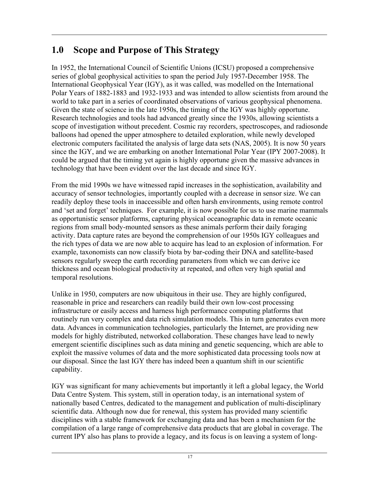# 1.0 Scope and Purpose of This Strategy

In 1952, the International Council of Scientific Unions (ICSU) proposed a comprehensive series of global geophysical activities to span the period July 1957-December 1958. The International Geophysical Year (IGY), as it was called, was modelled on the International Polar Years of 1882-1883 and 1932-1933 and was intended to allow scientists from around the world to take part in a series of coordinated observations of various geophysical phenomena. Given the state of science in the late 1950s, the timing of the IGY was highly opportune. Research technologies and tools had advanced greatly since the 1930s, allowing scientists a scope of investigation without precedent. Cosmic ray recorders, spectroscopes, and radiosonde balloons had opened the upper atmosphere to detailed exploration, while newly developed electronic computers facilitated the analysis of large data sets (NAS, 2005). It is now 50 years since the IGY, and we are embarking on another International Polar Year (IPY 2007-2008). It could be argued that the timing yet again is highly opportune given the massive advances in technology that have been evident over the last decade and since IGY.

From the mid 1990s we have witnessed rapid increases in the sophistication, availability and accuracy of sensor technologies, importantly coupled with a decrease in sensor size. We can readily deploy these tools in inaccessible and often harsh environments, using remote control and 'set and forget' techniques. For example, it is now possible for us to use marine mammals as opportunistic sensor platforms, capturing physical oceanographic data in remote oceanic regions from small body-mounted sensors as these animals perform their daily foraging activity. Data capture rates are beyond the comprehension of our 1950s IGY colleagues and the rich types of data we are now able to acquire has lead to an explosion of information. For example, taxonomists can now classify biota by bar-coding their DNA and satellite-based sensors regularly sweep the earth recording parameters from which we can derive ice thickness and ocean biological productivity at repeated, and often very high spatial and temporal resolutions.

Unlike in 1950, computers are now ubiquitous in their use. They are highly configured, reasonable in price and researchers can readily build their own low-cost processing infrastructure or easily access and harness high performance computing platforms that routinely run very complex and data rich simulation models. This in turn generates even more data. Advances in communication technologies, particularly the Internet, are providing new models for highly distributed, networked collaboration. These changes have lead to newly emergent scientific disciplines such as data mining and genetic sequencing, which are able to exploit the massive volumes of data and the more sophisticated data processing tools now at our disposal. Since the last IGY there has indeed been a quantum shift in our scientific capability.

IGY was significant for many achievements but importantly it left a global legacy, the World Data Centre System. This system, still in operation today, is an international system of nationally based Centres, dedicated to the management and publication of multi-disciplinary scientific data. Although now due for renewal, this system has provided many scientific disciplines with a stable framework for exchanging data and has been a mechanism for the compilation of a large range of comprehensive data products that are global in coverage. The current IPY also has plans to provide a legacy, and its focus is on leaving a system of long-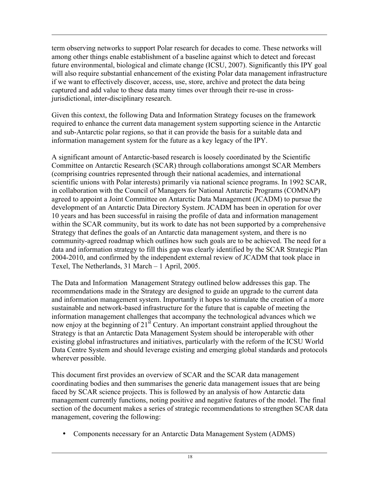term observing networks to support Polar research for decades to come. These networks will among other things enable establishment of a baseline against which to detect and forecast future environmental, biological and climate change (ICSU, 2007). Significantly this IPY goal will also require substantial enhancement of the existing Polar data management infrastructure if we want to effectively discover, access, use, store, archive and protect the data being captured and add value to these data many times over through their re-use in crossjurisdictional, inter-disciplinary research.

Given this context, the following Data and Information Strategy focuses on the framework required to enhance the current data management system supporting science in the Antarctic and sub-Antarctic polar regions, so that it can provide the basis for a suitable data and information management system for the future as a key legacy of the IPY.

A significant amount of Antarctic-based research is loosely coordinated by the Scientific Committee on Antarctic Research (SCAR) through collaborations amongst SCAR Members (comprising countries represented through their national academies, and international scientific unions with Polar interests) primarily via national science programs. In 1992 SCAR, in collaboration with the Council of Managers for National Antarctic Programs (COMNAP) agreed to appoint a Joint Committee on Antarctic Data Management (JCADM) to pursue the development of an Antarctic Data Directory System. JCADM has been in operation for over 10 years and has been successful in raising the profile of data and information management within the SCAR community, but its work to date has not been supported by a comprehensive Strategy that defines the goals of an Antarctic data management system, and there is no community-agreed roadmap which outlines how such goals are to be achieved. The need for a data and information strategy to fill this gap was clearly identified by the SCAR Strategic Plan 2004-2010, and confirmed by the independent external review of JCADM that took place in Texel, The Netherlands, 31 March – 1 April, 2005.

The Data and Information Management Strategy outlined below addresses this gap. The recommendations made in the Strategy are designed to guide an upgrade to the current data and information management system. Importantly it hopes to stimulate the creation of a more sustainable and network-based infrastructure for the future that is capable of meeting the information management challenges that accompany the technological advances which we now enjoy at the beginning of  $21<sup>st</sup>$  Century. An important constraint applied throughout the Strategy is that an Antarctic Data Management System should be interoperable with other existing global infrastructures and initiatives, particularly with the reform of the ICSU World Data Centre System and should leverage existing and emerging global standards and protocols wherever possible.

This document first provides an overview of SCAR and the SCAR data management coordinating bodies and then summarises the generic data management issues that are being faced by SCAR science projects. This is followed by an analysis of how Antarctic data management currently functions, noting positive and negative features of the model. The final section of the document makes a series of strategic recommendations to strengthen SCAR data management, covering the following:

• Components necessary for an Antarctic Data Management System (ADMS)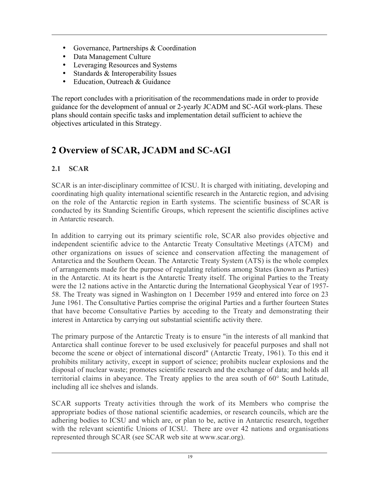- Governance, Partnerships & Coordination
- Data Management Culture
- Leveraging Resources and Systems
- Standards & Interoperability Issues
- Education, Outreach & Guidance

The report concludes with a prioritisation of the recommendations made in order to provide guidance for the development of annual or 2-yearly JCADM and SC-AGI work-plans. These plans should contain specific tasks and implementation detail sufficient to achieve the objectives articulated in this Strategy.

# 2 Overview of SCAR, JCADM and SC-AGI

#### 2.1 SCAR

SCAR is an inter-disciplinary committee of ICSU. It is charged with initiating, developing and coordinating high quality international scientific research in the Antarctic region, and advising on the role of the Antarctic region in Earth systems. The scientific business of SCAR is conducted by its Standing Scientific Groups, which represent the scientific disciplines active in Antarctic research.

In addition to carrying out its primary scientific role, SCAR also provides objective and independent scientific advice to the Antarctic Treaty Consultative Meetings (ATCM) and other organizations on issues of science and conservation affecting the management of Antarctica and the Southern Ocean. The Antarctic Treaty System (ATS) is the whole complex of arrangements made for the purpose of regulating relations among States (known as Parties) in the Antarctic. At its heart is the Antarctic Treaty itself. The original Parties to the Treaty were the 12 nations active in the Antarctic during the International Geophysical Year of 1957- 58. The Treaty was signed in Washington on 1 December 1959 and entered into force on 23 June 1961. The Consultative Parties comprise the original Parties and a further fourteen States that have become Consultative Parties by acceding to the Treaty and demonstrating their interest in Antarctica by carrying out substantial scientific activity there.

The primary purpose of the Antarctic Treaty is to ensure "in the interests of all mankind that Antarctica shall continue forever to be used exclusively for peaceful purposes and shall not become the scene or object of international discord" (Antarctic Treaty, 1961). To this end it prohibits military activity, except in support of science; prohibits nuclear explosions and the disposal of nuclear waste; promotes scientific research and the exchange of data; and holds all territorial claims in abeyance. The Treaty applies to the area south of 60° South Latitude, including all ice shelves and islands.

SCAR supports Treaty activities through the work of its Members who comprise the appropriate bodies of those national scientific academies, or research councils, which are the adhering bodies to ICSU and which are, or plan to be, active in Antarctic research, together with the relevant scientific Unions of ICSU. There are over 42 nations and organisations represented through SCAR (see SCAR web site at www.scar.org).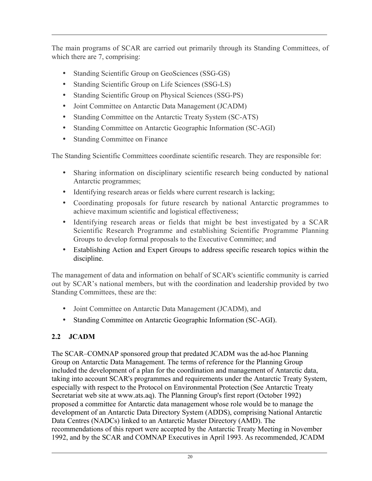The main programs of SCAR are carried out primarily through its Standing Committees, of which there are 7, comprising:

- Standing Scientific Group on GeoSciences (SSG-GS)
- Standing Scientific Group on Life Sciences (SSG-LS)
- Standing Scientific Group on Physical Sciences (SSG-PS)
- Joint Committee on Antarctic Data Management (JCADM)
- Standing Committee on the Antarctic Treaty System (SC-ATS)
- Standing Committee on Antarctic Geographic Information (SC-AGI)
- Standing Committee on Finance

The Standing Scientific Committees coordinate scientific research. They are responsible for:

- Sharing information on disciplinary scientific research being conducted by national Antarctic programmes;
- Identifying research areas or fields where current research is lacking;
- Coordinating proposals for future research by national Antarctic programmes to achieve maximum scientific and logistical effectiveness;
- Identifying research areas or fields that might be best investigated by a SCAR Scientific Research Programme and establishing Scientific Programme Planning Groups to develop formal proposals to the Executive Committee; and
- Establishing Action and Expert Groups to address specific research topics within the discipline.

The management of data and information on behalf of SCAR's scientific community is carried out by SCAR's national members, but with the coordination and leadership provided by two Standing Committees, these are the:

- Joint Committee on Antarctic Data Management (JCADM), and
- Standing Committee on Antarctic Geographic Information (SC-AGI).

#### 2.2 JCADM

The SCAR–COMNAP sponsored group that predated JCADM was the ad-hoc Planning Group on Antarctic Data Management. The terms of reference for the Planning Group included the development of a plan for the coordination and management of Antarctic data, taking into account SCAR's programmes and requirements under the Antarctic Treaty System, especially with respect to the Protocol on Environmental Protection (See Antarctic Treaty Secretariat web site at www.ats.aq). The Planning Group's first report (October 1992) proposed a committee for Antarctic data management whose role would be to manage the development of an Antarctic Data Directory System (ADDS), comprising National Antarctic Data Centres (NADCs) linked to an Antarctic Master Directory (AMD). The recommendations of this report were accepted by the Antarctic Treaty Meeting in November 1992, and by the SCAR and COMNAP Executives in April 1993. As recommended, JCADM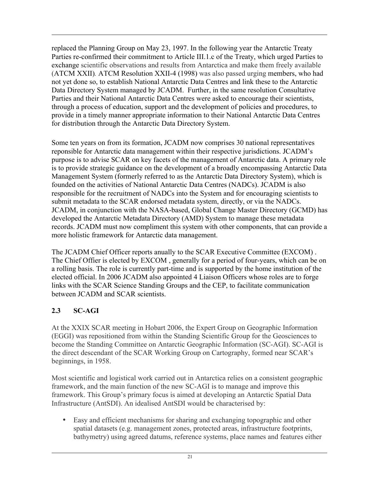replaced the Planning Group on May 23, 1997. In the following year the Antarctic Treaty Parties re-confirmed their commitment to Article III.1.c of the Treaty, which urged Parties to exchange scientific observations and results from Antarctica and make them freely available (ATCM XXII)*.* ATCM Resolution XXII-4 (1998) was also passed urging members, who had not yet done so, to establish National Antarctic Data Centres and link these to the Antarctic Data Directory System managed by JCADM. Further, in the same resolution Consultative Parties and their National Antarctic Data Centres were asked to encourage their scientists, through a process of education, support and the development of policies and procedures, to provide in a timely manner appropriate information to their National Antarctic Data Centres for distribution through the Antarctic Data Directory System.

Some ten years on from its formation, JCADM now comprises 30 national representatives reponsible for Antarctic data management within their respective jurisdictions. JCADM's purpose is to advise SCAR on key facets of the management of Antarctic data. A primary role is to provide strategic guidance on the development of a broadly encompassing Antarctic Data Management System (formerly referred to as the Antarctic Data Directory System), which is founded on the activities of National Antarctic Data Centres (NADCs). JCADM is also responsible for the recruitment of NADCs into the System and for encouraging scientists to submit metadata to the SCAR endorsed metadata system, directly, or via the NADCs. JCADM, in conjunction with the NASA-based, Global Change Master Directory (GCMD) has developed the Antarctic Metadata Directory (AMD) System to manage these metadata records. JCADM must now compliment this system with other components, that can provide a more holistic framework for Antarctic data management.

The JCADM Chief Officer reports anually to the SCAR Executive Committee (EXCOM) . The Chief Offier is elected by EXCOM , generally for a period of four-years, which can be on a rolling basis. The role is currently part-time and is supported by the home institution of the elected official. In 2006 JCADM also appointed 4 Liaison Officers whose roles are to forge links with the SCAR Science Standing Groups and the CEP, to facilitate communication between JCADM and SCAR scientists.

#### 2.3 SC-AGI

At the XXIX SCAR meeting in Hobart 2006, the Expert Group on Geographic Information (EGGI) was repositioned from within the Standing Scientific Group for the Geosciences to become the Standing Committee on Antarctic Geographic Information (SC-AGI). SC-AGI is the direct descendant of the SCAR Working Group on Cartography, formed near SCAR's beginnings, in 1958.

Most scientific and logistical work carried out in Antarctica relies on a consistent geographic framework, and the main function of the new SC-AGI is to manage and improve this framework. This Group's primary focus is aimed at developing an Antarctic Spatial Data Infrastructure (AntSDI). An idealised AntSDI would be characterised by:

• Easy and efficient mechanisms for sharing and exchanging topographic and other spatial datasets (e.g. management zones, protected areas, infrastructure footprints, bathymetry) using agreed datums, reference systems, place names and features either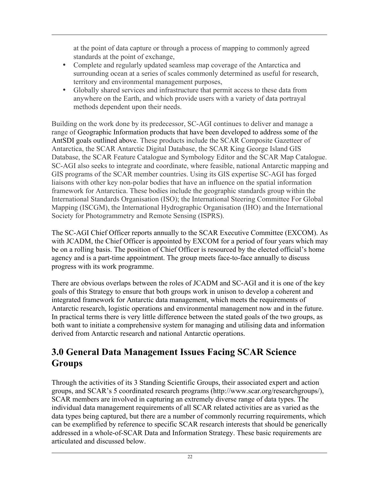at the point of data capture or through a process of mapping to commonly agreed standards at the point of exchange,

- Complete and regularly updated seamless map coverage of the Antarctica and surrounding ocean at a series of scales commonly determined as useful for research, territory and environmental management purposes,
- Globally shared services and infrastructure that permit access to these data from anywhere on the Earth, and which provide users with a variety of data portrayal methods dependent upon their needs.

Building on the work done by its predecessor, SC-AGI continues to deliver and manage a range of Geographic Information products that have been developed to address some of the AntSDI goals outlined above. These products include the SCAR Composite Gazetteer of Antarctica, the SCAR Antarctic Digital Database, the SCAR King George Island GIS Database, the SCAR Feature Catalogue and Symbology Editor and the SCAR Map Catalogue. SC-AGI also seeks to integrate and coordinate, where feasible, national Antarctic mapping and GIS programs of the SCAR member countries. Using its GIS expertise SC-AGI has forged liaisons with other key non-polar bodies that have an influence on the spatial information framework for Antarctica. These bodies include the geographic standards group within the International Standards Organisation (ISO); the International Steering Committee For Global Mapping (ISCGM), the International Hydrographic Organisation (IHO) and the International Society for Photogrammetry and Remote Sensing (ISPRS).

The SC-AGI Chief Officer reports annually to the SCAR Executive Committee (EXCOM). As with JCADM, the Chief Officer is appointed by EXCOM for a period of four years which may be on a rolling basis. The position of Chief Officer is resourced by the elected official's home agency and is a part-time appointment. The group meets face-to-face annually to discuss progress with its work programme.

There are obvious overlaps between the roles of JCADM and SC-AGI and it is one of the key goals of this Strategy to ensure that both groups work in unison to develop a coherent and integrated framework for Antarctic data management, which meets the requirements of Antarctic research, logistic operations and environmental management now and in the future. In practical terms there is very little difference between the stated goals of the two groups, as both want to initiate a comprehensive system for managing and utilising data and information derived from Antarctic research and national Antarctic operations.

# 3.0 General Data Management Issues Facing SCAR Science **Groups**

Through the activities of its 3 Standing Scientific Groups, their associated expert and action groups, and SCAR's 5 coordinated research programs (http://www.scar.org/researchgroups/), SCAR members are involved in capturing an extremely diverse range of data types. The individual data management requirements of all SCAR related activities are as varied as the data types being captured, but there are a number of commonly recurring requirements, which can be exemplified by reference to specific SCAR research interests that should be generically addressed in a whole-of-SCAR Data and Information Strategy. These basic requirements are articulated and discussed below.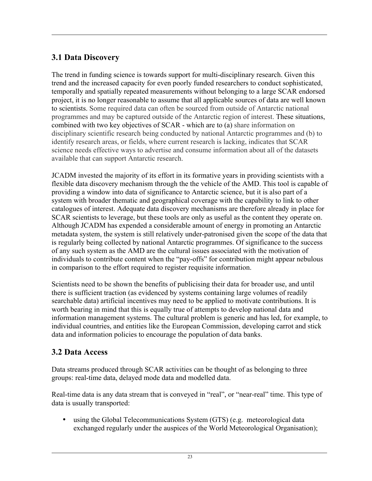# 3.1 Data Discovery

The trend in funding science is towards support for multi-disciplinary research. Given this trend and the increased capacity for even poorly funded researchers to conduct sophisticated, temporally and spatially repeated measurements without belonging to a large SCAR endorsed project, it is no longer reasonable to assume that all applicable sources of data are well known to scientists. Some required data can often be sourced from outside of Antarctic national programmes and may be captured outside of the Antarctic region of interest. These situations, combined with two key objectives of SCAR - which are to (a) share information on disciplinary scientific research being conducted by national Antarctic programmes and (b) to identify research areas, or fields, where current research is lacking, indicates that SCAR science needs effective ways to advertise and consume information about all of the datasets available that can support Antarctic research.

JCADM invested the majority of its effort in its formative years in providing scientists with a flexible data discovery mechanism through the the vehicle of the AMD. This tool is capable of providing a window into data of significance to Antarctic science, but it is also part of a system with broader thematic and geographical coverage with the capability to link to other catalogues of interest. Adequate data discovery mechanisms are therefore already in place for SCAR scientists to leverage, but these tools are only as useful as the content they operate on. Although JCADM has expended a considerable amount of energy in promoting an Antarctic metadata system, the system is still relatively under-patronised given the scope of the data that is regularly being collected by national Antarctic programmes. Of significance to the success of any such system as the AMD are the cultural issues associated with the motivation of individuals to contribute content when the "pay-offs" for contribution might appear nebulous in comparison to the effort required to register requisite information.

Scientists need to be shown the benefits of publicising their data for broader use, and until there is sufficient traction (as evidenced by systems containing large volumes of readily searchable data) artificial incentives may need to be applied to motivate contributions. It is worth bearing in mind that this is equally true of attempts to develop national data and information management systems. The cultural problem is generic and has led, for example, to individual countries, and entities like the European Commission, developing carrot and stick data and information policies to encourage the population of data banks.

# 3.2 Data Access

Data streams produced through SCAR activities can be thought of as belonging to three groups: real-time data, delayed mode data and modelled data.

Real-time data is any data stream that is conveyed in "real", or "near-real" time. This type of data is usually transported:

• using the Global Telecommunications System (GTS) (e.g. meteorological data exchanged regularly under the auspices of the World Meteorological Organisation);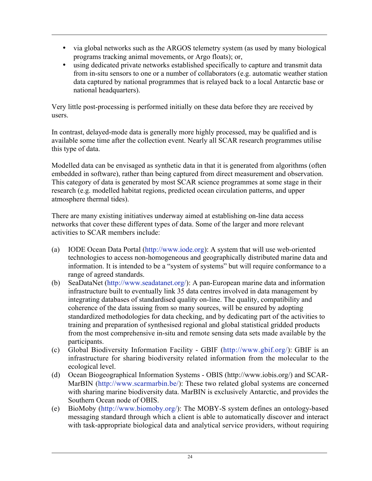- via global networks such as the ARGOS telemetry system (as used by many biological programs tracking animal movements, or Argo floats); or,
- using dedicated private networks established specifically to capture and transmit data from in-situ sensors to one or a number of collaborators (e.g. automatic weather station data captured by national programmes that is relayed back to a local Antarctic base or national headquarters).

Very little post-processing is performed initially on these data before they are received by users.

In contrast, delayed-mode data is generally more highly processed, may be qualified and is available some time after the collection event. Nearly all SCAR research programmes utilise this type of data.

Modelled data can be envisaged as synthetic data in that it is generated from algorithms (often embedded in software), rather than being captured from direct measurement and observation. This category of data is generated by most SCAR science programmes at some stage in their research (e.g. modelled habitat regions, predicted ocean circulation patterns, and upper atmosphere thermal tides).

There are many existing initiatives underway aimed at establishing on-line data access networks that cover these different types of data. Some of the larger and more relevant activities to SCAR members include:

- (a) IODE Ocean Data Portal (http://www.iode.org): A system that will use web-oriented technologies to access non-homogeneous and geographically distributed marine data and information. It is intended to be a "system of systems" but will require conformance to a range of agreed standards.
- (b) SeaDataNet (http://www.seadatanet.org/): A pan-European marine data and information infrastructure built to eventually link 35 data centres involved in data management by integrating databases of standardised quality on-line. The quality, compatibility and coherence of the data issuing from so many sources, will be ensured by adopting standardized methodologies for data checking, and by dedicating part of the activities to training and preparation of synthesised regional and global statistical gridded products from the most comprehensive in-situ and remote sensing data sets made available by the participants.
- (c) Global Biodiversity Information Facility GBIF (http://www.gbif.org/): GBIF is an infrastructure for sharing biodiversity related information from the molecular to the ecological level.
- (d) Ocean Biogeographical Information Systems OBIS (http://www.iobis.org/) and SCAR-MarBIN (http://www.scarmarbin.be/): These two related global systems are concerned with sharing marine biodiversity data. MarBIN is exclusively Antarctic, and provides the Southern Ocean node of OBIS.
- (e) BioMoby (http://www.biomoby.org/): The MOBY-S system defines an ontology-based messaging standard through which a client is able to automatically discover and interact with task-appropriate biological data and analytical service providers, without requiring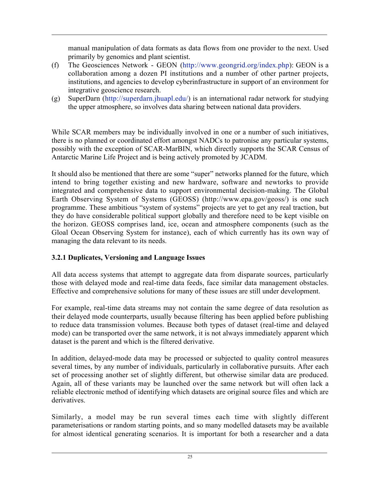manual manipulation of data formats as data flows from one provider to the next. Used primarily by genomics and plant scientist.

- (f) The Geosciences Network GEON (http://www.geongrid.org/index.php): GEON is a collaboration among a dozen PI institutions and a number of other partner projects, institutions, and agencies to develop cyberinfrastructure in support of an environment for integrative geoscience research.
- (g) SuperDarn (http://superdarn.jhuapl.edu/) is an international radar network for studying the upper atmosphere, so involves data sharing between national data providers.

While SCAR members may be individually involved in one or a number of such initiatives, there is no planned or coordinated effort amongst NADCs to patronise any particular systems, possibly with the exception of SCAR-MarBIN, which directly supports the SCAR Census of Antarctic Marine Life Project and is being actively promoted by JCADM.

It should also be mentioned that there are some "super" networks planned for the future, which intend to bring together existing and new hardware, software and newtorks to provide integrated and comprehensive data to support environmental decision-making. The Global Earth Observing System of Systems (GEOSS) (http://www.epa.gov/geoss/) is one such programme. These ambitious "system of systems" projects are yet to get any real traction, but they do have considerable political support globally and therefore need to be kept visible on the horizon. GEOSS comprises land, ice, ocean and atmosphere components (such as the Gloal Ocean Observing System for instance), each of which currently has its own way of managing the data relevant to its needs.

#### 3.2.1 Duplicates, Versioning and Language Issues

All data access systems that attempt to aggregate data from disparate sources, particularly those with delayed mode and real-time data feeds, face similar data management obstacles. Effective and comprehensive solutions for many of these issues are still under development.

For example, real-time data streams may not contain the same degree of data resolution as their delayed mode counterparts, usually because filtering has been applied before publishing to reduce data transmission volumes. Because both types of dataset (real-time and delayed mode) can be transported over the same network, it is not always immediately apparent which dataset is the parent and which is the filtered derivative.

In addition, delayed-mode data may be processed or subjected to quality control measures several times, by any number of individuals, particularly in collaborative pursuits. After each set of processing another set of slightly different, but otherwise similar data are produced. Again, all of these variants may be launched over the same network but will often lack a reliable electronic method of identifying which datasets are original source files and which are derivatives.

Similarly, a model may be run several times each time with slightly different parameterisations or random starting points, and so many modelled datasets may be available for almost identical generating scenarios. It is important for both a researcher and a data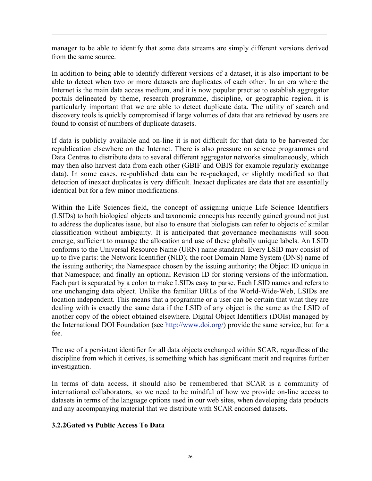manager to be able to identify that some data streams are simply different versions derived from the same source.

In addition to being able to identify different versions of a dataset, it is also important to be able to detect when two or more datasets are duplicates of each other. In an era where the Internet is the main data access medium, and it is now popular practise to establish aggregator portals delineated by theme, research programme, discipline, or geographic region, it is particularly important that we are able to detect duplicate data. The utility of search and discovery tools is quickly compromised if large volumes of data that are retrieved by users are found to consist of numbers of duplicate datasets.

If data is publicly available and on-line it is not difficult for that data to be harvested for republication elsewhere on the Internet. There is also pressure on science programmes and Data Centres to distribute data to several different aggregator networks simultaneously, which may then also harvest data from each other (GBIF and OBIS for example regularly exchange data). In some cases, re-published data can be re-packaged, or slightly modified so that detection of inexact duplicates is very difficult. Inexact duplicates are data that are essentially identical but for a few minor modifications.

Within the Life Sciences field, the concept of assigning unique Life Science Identifiers (LSIDs) to both biological objects and taxonomic concepts has recently gained ground not just to address the duplicates issue, but also to ensure that biologists can refer to objects of similar classification without ambiguity. It is anticipated that governance mechanisms will soon emerge, sufficient to manage the allocation and use of these globally unique labels. An LSID conforms to the Universal Resource Name (URN) name standard. Every LSID may consist of up to five parts: the Network Identifier (NID); the root Domain Name System (DNS) name of the issuing authority; the Namespace chosen by the issuing authority; the Object ID unique in that Namespace; and finally an optional Revision ID for storing versions of the information. Each part is separated by a colon to make LSIDs easy to parse. Each LSID names and refers to one unchanging data object. Unlike the familiar URLs of the World-Wide-Web, LSIDs are location independent. This means that a programme or a user can be certain that what they are dealing with is exactly the same data if the LSID of any object is the same as the LSID of another copy of the object obtained elsewhere. Digital Object Identifiers (DOIs) managed by the International DOI Foundation (see http://www.doi.org/) provide the same service, but for a fee.

The use of a persistent identifier for all data objects exchanged within SCAR, regardless of the discipline from which it derives, is something which has significant merit and requires further investigation.

In terms of data access, it should also be remembered that SCAR is a community of international collaborators, so we need to be mindful of how we provide on-line access to datasets in terms of the language options used in our web sites, when developing data products and any accompanying material that we distribute with SCAR endorsed datasets.

#### 3.2.2Gated vs Public Access To Data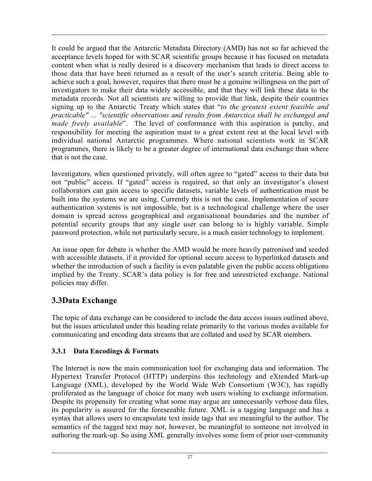It could be argued that the Antarctic Metadata Directory (AMD) has not so far achieved the acceptance levels hoped for with SCAR scientific groups because it has focused on metadata content when what is really desired is a discovery mechanism that leads to direct access to those data that have been returned as a result of the user's search criteria. Being able to achieve such a goal, however, requires that there must be a genuine willingness on the part of investigators to make their data widely accessible, and that they will link these data to the metadata records. Not all scientists are willing to provide that link, despite their countries signing up to the Antarctic Treaty which states that "*to the greatest extent feasible and practicable" ... "scientific observations and results from Antarctica shall be exchanged and made freely available*". The level of conformance with this aspiration is patchy, and responsibility for meeting the aspiration must to a great extent rest at the local level with individual national Antarctic programmes. Where national scientists work in SCAR programmes, there is likely to be a greater degree of international data exchange than where that is not the case.

Investigators, when questioned privately, will often agree to "gated" access to their data but not "public" access. If "gated" access is required, so that only an investigator's closest collaborators can gain access to specific datasets, variable levels of authentication must be built into the systems we are using. Currently this is not the case. Implementation of secure authentication systems is not impossible, but is a technological challenge where the user domain is spread across geographical and organisational boundaries and the number of potential security groups that any single user can belong to is highly variable. Simple password protection, while not particularly secure, is a much easier technology to implement.

An issue open for debate is whether the AMD would be more heavily patronised and seeded with accessible datasets, if it provided for optional secure access to hyperlinked datasets and whether the introduction of such a facility is even palatable given the public access obligations implied by the Treaty. SCAR's data policy is for free and unrestricted exchange. National policies may differ.

# 3.3Data Exchange

The topic of data exchange can be considered to include the data access issues outlined above, but the issues articulated under this heading relate primarily to the various modes available for communicating and encoding data streams that are collated and used by SCAR members.

#### 3.3.1 Data Encodings & Formats

The Internet is now the main communication tool for exchanging data and information. The Hypertext Transfer Protocol (HTTP) underpins this technology and eXtended Mark-up Language (XML), developed by the World Wide Web Consortium (W3C), has rapidly proliferated as the language of choice for many web users wishing to exchange information. Despite its propensity for creating what some may argue are unnecessarily verbose data files, its popularity is assured for the foreseeable future. XML is a tagging language and has a syntax that allows users to encapsulate text inside tags that are meaningful to the author. The semantics of the tagged text may not, however, be meaningful to someone not involved in authoring the mark-up. So using XML generally involves some form of prior user-community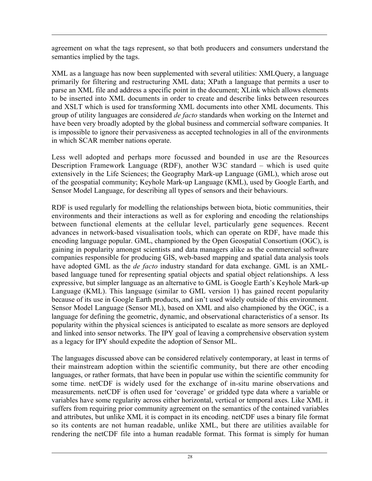agreement on what the tags represent, so that both producers and consumers understand the semantics implied by the tags.

XML as a language has now been supplemented with several utilities: XMLQuery, a language primarily for filtering and restructuring XML data; XPath a language that permits a user to parse an XML file and address a specific point in the document; XLink which allows elements to be inserted into XML documents in order to create and describe links between resources and XSLT which is used for transforming XML documents into other XML documents. This group of utility languages are considered *de facto* standards when working on the Internet and have been very broadly adopted by the global business and commercial software companies. It is impossible to ignore their pervasiveness as accepted technologies in all of the environments in which SCAR member nations operate.

Less well adopted and perhaps more focussed and bounded in use are the Resources Description Framework Language (RDF), another W3C standard – which is used quite extensively in the Life Sciences; the Geography Mark-up Language (GML), which arose out of the geospatial community; Keyhole Mark-up Language (KML), used by Google Earth, and Sensor Model Language, for describing all types of sensors and their behaviours.

RDF is used regularly for modelling the relationships between biota, biotic communities, their environments and their interactions as well as for exploring and encoding the relationships between functional elements at the cellular level, particularly gene sequences. Recent advances in network-based visualisation tools, which can operate on RDF, have made this encoding language popular. GML, championed by the Open Geospatial Consortium (OGC), is gaining in popularity amongst scientists and data managers alike as the commercial software companies responsible for producing GIS, web-based mapping and spatial data analysis tools have adopted GML as the *de facto* industry standard for data exchange. GML is an XMLbased language tuned for representing spatial objects and spatial object relationships. A less expressive, but simpler language as an alternative to GML is Google Earth's Keyhole Mark-up Language (KML). This language (similar to GML version 1) has gained recent popularity because of its use in Google Earth products, and isn't used widely outside of this environment. Sensor Model Language (Sensor ML), based on XML and also championed by the OGC, is a language for defining the geometric, dynamic, and observational characteristics of a sensor. Its popularity within the physical sciences is anticipated to escalate as more sensors are deployed and linked into sensor networks. The IPY goal of leaving a comprehensive observation system as a legacy for IPY should expedite the adoption of Sensor ML.

The languages discussed above can be considered relatively contemporary, at least in terms of their mainstream adoption within the scientific community, but there are other encoding languages, or rather formats, that have been in popular use within the scientific community for some time. netCDF is widely used for the exchange of in-situ marine observations and measurements. netCDF is often used for 'coverage' or gridded type data where a variable or variables have some regularity across either horizontal, vertical or temporal axes. Like XML it suffers from requiring prior community agreement on the semantics of the contained variables and attributes, but unlike XML it is compact in its encoding. netCDF uses a binary file format so its contents are not human readable, unlike XML, but there are utilities available for rendering the netCDF file into a human readable format. This format is simply for human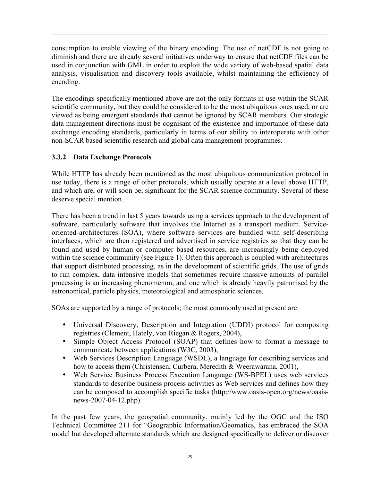consumption to enable viewing of the binary encoding. The use of netCDF is not going to diminish and there are already several initiatives underway to ensure that netCDF files can be used in conjunction with GML in order to exploit the wide variety of web-based spatial data analysis, visualisation and discovery tools available, whilst maintaining the efficiency of encoding.

The encodings specifically mentioned above are not the only formats in use within the SCAR scientific community, but they could be considered to be the most ubiquitous ones used, or are viewed as being emergent standards that cannot be ignored by SCAR members. Our strategic data management directions must be cognisant of the existence and importance of these data exchange encoding standards, particularly in terms of our ability to interoperate with other non-SCAR based scientific research and global data management programmes.

#### 3.3.2 Data Exchange Protocols

While HTTP has already been mentioned as the most ubiquitous communication protocol in use today, there is a range of other protocols, which usually operate at a level above HTTP, and which are, or will soon be, significant for the SCAR science community. Several of these deserve special mention.

There has been a trend in last 5 years towards using a services approach to the development of software, particularly software that involves the Internet as a transport medium. Serviceoriented-architectures (SOA), where software services are bundled with self-describing interfaces, which are then registered and advertised in service registries so that they can be found and used by human or computer based resources, are increasingly being deployed within the science community (see Figure 1). Often this approach is coupled with architectures that support distributed processing, as in the development of scientific grids. The use of grids to run complex, data intensive models that sometimes require massive amounts of parallel processing is an increasing phenomenon, and one which is already heavily patronised by the astronomical, particle physics, meteorological and atmospheric sciences.

SOAs are supported by a range of protocols; the most commonly used at present are:

- Universal Discovery, Description and Integration (UDDI) protocol for composing registries (Clement, Hately, von Riegan & Rogers, 2004),
- Simple Object Access Protocol (SOAP) that defines how to format a message to communicate between applications (W3C, 2003),
- Web Services Description Language (WSDL), a language for describing services and how to access them (Christensen, Curbera, Meredith & Weerawarana, 2001),
- Web Service Business Process Execution Language (WS-BPEL) uses web services standards to describe business process activities as Web services and defines how they can be composed to accomplish specific tasks (http://www.oasis-open.org/news/oasisnews-2007-04-12.php).

In the past few years, the geospatial community, mainly led by the OGC and the ISO Technical Committee 211 for "Geographic Information/Geomatics, has embraced the SOA model but developed alternate standards which are designed specifically to deliver or discover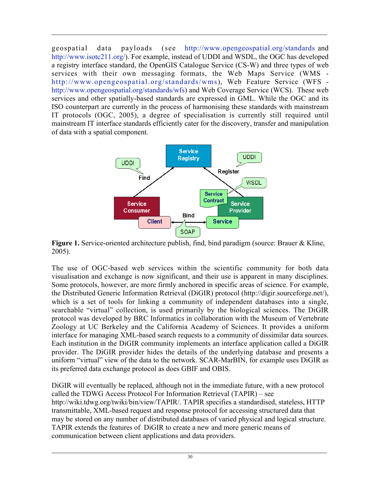geospatial data payloads (see http://www.opengeospatial.org/standards and http://www.isotc211.org/). For example, instead of UDDI and WSDL, the OGC has developed a registry interface standard, the OpenGIS Catalogue Service (CS-W) and three types of web services with their own messaging formats, the Web Maps Service (WMS http://www.opengeospatial.org/standards/wms), Web Feature Service (WFS http://www.opengeospatial.org/standards/wfs) and Web Coverage Service (WCS). These web services and other spatially-based standards are expressed in GML. While the OGC and its ISO counterpart are currently in the process of harmonising these standards with mainstream IT protocols (OGC, 2005), a degree of specialisation is currently still required until mainstream IT interface standards efficiently cater for the discovery, transfer and manipulation of data with a spatial component.



Figure 1. Service-oriented architecture publish, find, bind paradigm (source: Brauer & Kline, 2005).

The use of OGC-based web services within the scientific community for both data visualisation and exchange is now significant, and their use is apparent in many disciplines. Some protocols, however, are more firmly anchored in specific areas of science. For example, the Distributed Generic Information Retrieval (DiGIR) protocol (http://digir.sourceforge.net/), which is a set of tools for linking a community of independent databases into a single, searchable "virtual" collection, is used primarily by the biological sciences. The DiGIR protocol was developed by BRC Informatics in collaboration with the Museum of Vertebrate Zoology at UC Berkeley and the California Academy of Sciences. It provides a uniform interface for managing XML-based search requests to a community of dissimilar data sources. Each institution in the DiGIR community implements an interface application called a DiGIR provider. The DiGIR provider hides the details of the underlying database and presents a uniform "virtual" view of the data to the network. SCAR-MarBIN, for example uses DiGIR as its preferred data exchange protocol as does GBIF and OBIS.

DiGIR will eventually be replaced, although not in the immediate future, with a new protocol called the TDWG Access Protocol For Information Retrieval (TAPIR) – see http://wiki.tdwg.org/twiki/bin/view/TAPIR/. TAPIR specifies a standardised, stateless, HTTP transmittable, XML-based request and response protocol for accessing structured data that may be stored on any number of distributed databases of varied physical and logical structure. TAPIR extends the features of DiGIR to create a new and more generic means of communication between client applications and data providers.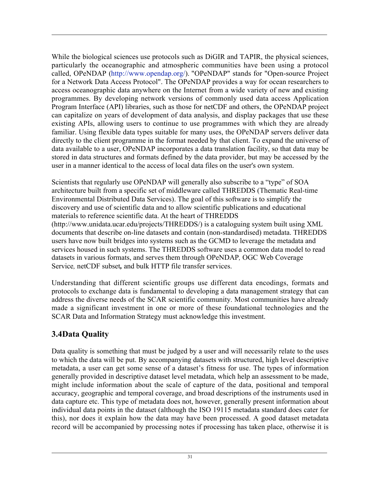While the biological sciences use protocols such as DiGIR and TAPIR, the physical sciences, particularly the oceanographic and atmospheric communities have been using a protocol called, OPeNDAP (http://www.opendap.org/). "OPeNDAP" stands for "Open-source Project for a Network Data Access Protocol". The OPeNDAP provides a way for ocean researchers to access oceanographic data anywhere on the Internet from a wide variety of new and existing programmes. By developing network versions of commonly used data access Application Program Interface (API) libraries, such as those for netCDF and others, the OPeNDAP project can capitalize on years of development of data analysis, and display packages that use these existing APIs, allowing users to continue to use programmes with which they are already familiar. Using flexible data types suitable for many uses, the OPeNDAP servers deliver data directly to the client programme in the format needed by that client. To expand the universe of data available to a user, OPeNDAP incorporates a data translation facility, so that data may be stored in data structures and formats defined by the data provider, but may be accessed by the user in a manner identical to the access of local data files on the user's own system.

Scientists that regularly use OPeNDAP will generally also subscribe to a "type" of SOA architecture built from a specific set of middleware called THREDDS (Thematic Real-time Environmental Distributed Data Services). The goal of this software is to simplify the discovery and use of scientific data and to allow scientific publications and educational materials to reference scientific data. At the heart of THREDDS (http://www.unidata.ucar.edu/projects/THREDDS/) is a cataloguing system built using XML documents that describe on-line datasets and contain (non-standardised) metadata. THREDDS users have now built bridges into systems such as the GCMD to leverage the metadata and services housed in such systems. The THREDDS software uses a common data model to read datasets in various formats, and serves them through OPeNDAP*,* OGC Web Coverage Service*,* netCDF subset*,* and bulk HTTP file transfer services.

Understanding that different scientific groups use different data encodings, formats and protocols to exchange data is fundamental to developing a data management strategy that can address the diverse needs of the SCAR scientific community. Most communities have already made a significant investment in one or more of these foundational technologies and the SCAR Data and Information Strategy must acknowledge this investment.

# 3.4Data Quality

Data quality is something that must be judged by a user and will necessarily relate to the uses to which the data will be put. By accompanying datasets with structured, high level descriptive metadata, a user can get some sense of a dataset's fitness for use. The types of information generally provided in descriptive dataset level metadata, which help an assessment to be made, might include information about the scale of capture of the data, positional and temporal accuracy, geographic and temporal coverage, and broad descriptions of the instruments used in data capture etc. This type of metadata does not, however, generally present information about individual data points in the dataset (although the ISO 19115 metadata standard does cater for this), nor does it explain how the data may have been processed. A good dataset metadata record will be accompanied by processing notes if processing has taken place, otherwise it is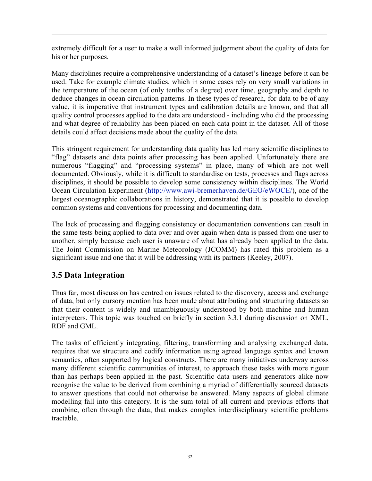extremely difficult for a user to make a well informed judgement about the quality of data for his or her purposes.

Many disciplines require a comprehensive understanding of a dataset's lineage before it can be used. Take for example climate studies, which in some cases rely on very small variations in the temperature of the ocean (of only tenths of a degree) over time, geography and depth to deduce changes in ocean circulation patterns. In these types of research, for data to be of any value, it is imperative that instrument types and calibration details are known, and that all quality control processes applied to the data are understood - including who did the processing and what degree of reliability has been placed on each data point in the dataset. All of those details could affect decisions made about the quality of the data.

This stringent requirement for understanding data quality has led many scientific disciplines to "flag" datasets and data points after processing has been applied. Unfortunately there are numerous "flagging" and "processing systems" in place, many of which are not well documented. Obviously, while it is difficult to standardise on tests, processes and flags across disciplines, it should be possible to develop some consistency within disciplines. The World Ocean Circulation Experiment (http://www.awi-bremerhaven.de/GEO/eWOCE/), one of the largest oceanographic collaborations in history, demonstrated that it is possible to develop common systems and conventions for processing and documenting data.

The lack of processing and flagging consistency or documentation conventions can result in the same tests being applied to data over and over again when data is passed from one user to another, simply because each user is unaware of what has already been applied to the data. The Joint Commission on Marine Meteorology (JCOMM) has rated this problem as a significant issue and one that it will be addressing with its partners (Keeley, 2007).

# 3.5 Data Integration

Thus far, most discussion has centred on issues related to the discovery, access and exchange of data, but only cursory mention has been made about attributing and structuring datasets so that their content is widely and unambiguously understood by both machine and human interpreters. This topic was touched on briefly in section 3.3.1 during discussion on XML, RDF and GML.

The tasks of efficiently integrating, filtering, transforming and analysing exchanged data, requires that we structure and codify information using agreed language syntax and known semantics, often supported by logical constructs. There are many initiatives underway across many different scientific communities of interest, to approach these tasks with more rigour than has perhaps been applied in the past. Scientific data users and generators alike now recognise the value to be derived from combining a myriad of differentially sourced datasets to answer questions that could not otherwise be answered. Many aspects of global climate modelling fall into this category. It is the sum total of all current and previous efforts that combine, often through the data, that makes complex interdisciplinary scientific problems tractable.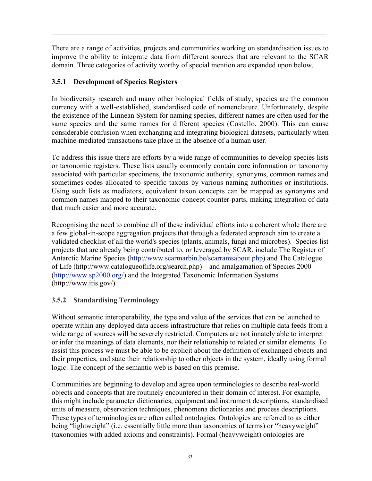There are a range of activities, projects and communities working on standardisation issues to improve the ability to integrate data from different sources that are relevant to the SCAR domain. Three categories of activity worthy of special mention are expanded upon below.

#### 3.5.1 Development of Species Registers

In biodiversity research and many other biological fields of study, species are the common currency with a well-established, standardised code of nomenclature. Unfortunately, despite the existence of the Linnean System for naming species, different names are often used for the same species and the same names for different species (Costello, 2000). This can cause considerable confusion when exchanging and integrating biological datasets, particularly when machine-mediated transactions take place in the absence of a human user.

To address this issue there are efforts by a wide range of communities to develop species lists or taxonomic registers. These lists usually commonly contain core information on taxonomy associated with particular specimens, the taxonomic authority, synonyms, common names and sometimes codes allocated to specific taxons by various naming authorities or institutions. Using such lists as mediators, equivalent taxon concepts can be mapped as synonyms and common names mapped to their taxonomic concept counter-parts, making integration of data that much easier and more accurate.

Recognising the need to combine all of these individual efforts into a coherent whole there are a few global-in-scope aggregation projects that through a federated approach aim to create a validated checklist of all the world's species (plants, animals, fungi and microbes). Species list projects that are already being contributed to, or leveraged by SCAR, include The Register of Antarctic Marine Species (http://www.scarmarbin.be/scarramsabout.php) and The Catalogue of Life (http://www.catalogueoflife.org/search.php) – and amalgamation of Species 2000 (http://www.sp2000.org/) and the Integrated Taxonomic Information Systems (http://www.itis.gov/).

#### 3.5.2 Standardising Terminology

Without semantic interoperability, the type and value of the services that can be launched to operate within any deployed data access infrastructure that relies on multiple data feeds from a wide range of sources will be severely restricted. Computers are not innately able to interpret or infer the meanings of data elements, nor their relationship to related or similar elements. To assist this process we must be able to be explicit about the definition of exchanged objects and their properties, and state their relationship to other objects in the system, ideally using formal logic. The concept of the semantic web is based on this premise.

Communities are beginning to develop and agree upon terminologies to describe real-world objects and concepts that are routinely encountered in their domain of interest. For example, this might include parameter dictionaries, equipment and instrument descriptions, standardised units of measure, observation techniques, phenomena dictionaries and process descriptions. These types of terminologies are often called ontologies. Ontologies are referred to as either being "lightweight" (i.e. essentially little more than taxonomies of terms) or "heavyweight" (taxonomies with added axioms and constraints). Formal (heavyweight) ontologies are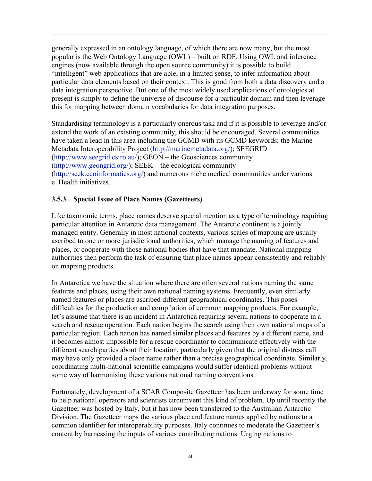generally expressed in an ontology language, of which there are now many, but the most popular is the Web Ontology Language (OWL) – built on RDF. Using OWL and inference engines (now available through the open source community) it is possible to build "intelligent" web applications that are able, in a limited sense, to infer information about particular data elements based on their context. This is good from both a data discovery and a data integration perspective. But one of the most widely used applications of ontologies at present is simply to define the universe of discourse for a particular domain and then leverage this for mapping between domain vocabularies for data integration purposes.

Standardising terminology is a particularly onerous task and if it is possible to leverage and/or extend the work of an existing community, this should be encouraged. Several communities have taken a lead in this area including the GCMD with its GCMD keywords; the Marine Metadata Interoperability Project (http://marinemetadata.org/); SEEGRID (http://www.seegrid.csiro.au/); GEON – the Geosciences community (http://www.geongrid.org/); SEEK – the ecological community (http://seek.ecoinformatics.org/) and numerous niche medical communities under various e Health initiatives.

#### 3.5.3 Special Issue of Place Names (Gazetteers)

Like taxonomic terms, place names deserve special mention as a type of terminology requiring particular attention in Antarctic data management. The Antarctic continent is a jointly managed entity. Generally in most national contexts, various scales of mapping are usually ascribed to one or more jurisdictional authorities, which manage the naming of features and places, or cooperate with those national bodies that have that mandate. National mapping authorities then perform the task of ensuring that place names appear consistently and reliably on mapping products.

In Antarctica we have the situation where there are often several nations naming the same features and places, using their own national naming systems. Frequently, even similarly named features or places are ascribed different geographical coordinates. This poses difficulties for the production and compilation of common mapping products. For example, let's assume that there is an incident in Antarctica requiring several nations to cooperate in a search and rescue operation. Each nation begins the search using their own national maps of a particular region. Each nation has named similar places and features by a different name, and it becomes almost impossible for a rescue coordinator to communicate effectively with the different search parties about their location, particularly given that the original distress call may have only provided a place name rather than a precise geographical coordinate. Similarly, coordinating multi-national scientific campaigns would suffer identical problems without some way of harmonising these various national naming conventions.

Fortunately, development of a SCAR Composite Gazetteer has been underway for some time to help national operators and scientists circumvent this kind of problem. Up until recently the Gazetteer was hosted by Italy, but it has now been transferred to the Australian Antarctic Division. The Gazetteer maps the various place and feature names applied by nations to a common identifier for interoperability purposes. Italy continues to moderate the Gazetteer's content by harnessing the inputs of various contributing nations. Urging nations to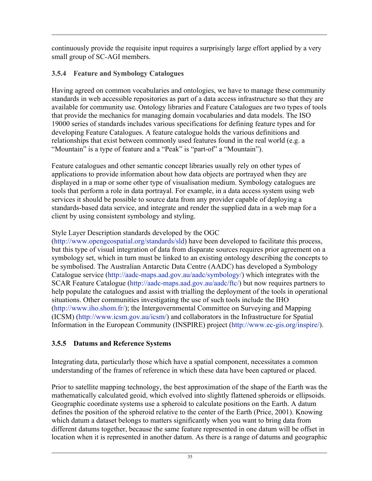continuously provide the requisite input requires a surprisingly large effort applied by a very small group of SC-AGI members.

### 3.5.4 Feature and Symbology Catalogues

Having agreed on common vocabularies and ontologies, we have to manage these community standards in web accessible repositories as part of a data access infrastructure so that they are available for community use. Ontology libraries and Feature Catalogues are two types of tools that provide the mechanics for managing domain vocabularies and data models. The ISO 19000 series of standards includes various specifications for defining feature types and for developing Feature Catalogues. A feature catalogue holds the various definitions and relationships that exist between commonly used features found in the real world (e.g. a "Mountain" is a type of feature and a "Peak" is "part-of" a "Mountain").

Feature catalogues and other semantic concept libraries usually rely on other types of applications to provide information about how data objects are portrayed when they are displayed in a map or some other type of visualisation medium. Symbology catalogues are tools that perform a role in data portrayal. For example, in a data access system using web services it should be possible to source data from any provider capable of deploying a standards-based data service, and integrate and render the supplied data in a web map for a client by using consistent symbology and styling.

### Style Layer Description standards developed by the OGC

(http://www.opengeospatial.org/standards/sld) have been developed to facilitate this process, but this type of visual integration of data from disparate sources requires prior agreement on a symbology set, which in turn must be linked to an existing ontology describing the concepts to be symbolised. The Australian Antarctic Data Centre (AADC) has developed a Symbology Catalogue service (http://aadc-maps.aad.gov.au/aadc/symbology/) which integrates with the SCAR Feature Catalogue (http://aadc-maps.aad.gov.au/aadc/ftc/) but now requires partners to help populate the catalogues and assist with trialling the deployment of the tools in operational situations. Other communities investigating the use of such tools include the IHO (http://www.iho.shom.fr/); the Intergovernmental Committee on Surveying and Mapping (ICSM) (http://www.icsm.gov.au/icsm/) and collaborators in the Infrastructure for Spatial Information in the European Community (INSPIRE) project (http://www.ec-gis.org/inspire/).

## 3.5.5 Datums and Reference Systems

Integrating data, particularly those which have a spatial component, necessitates a common understanding of the frames of reference in which these data have been captured or placed.

Prior to satellite mapping technology, the best approximation of the shape of the Earth was the mathematically calculated geoid, which evolved into slightly flattened spheroids or ellipsoids. Geographic coordinate systems use a spheroid to calculate positions on the Earth. A datum defines the position of the spheroid relative to the center of the Earth (Price, 2001). Knowing which datum a dataset belongs to matters significantly when you want to bring data from different datums together, because the same feature represented in one datum will be offset in location when it is represented in another datum. As there is a range of datums and geographic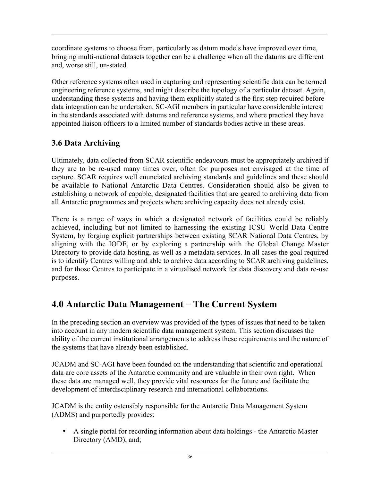coordinate systems to choose from, particularly as datum models have improved over time, bringing multi-national datasets together can be a challenge when all the datums are different and, worse still, un-stated.

Other reference systems often used in capturing and representing scientific data can be termed engineering reference systems, and might describe the topology of a particular dataset. Again, understanding these systems and having them explicitly stated is the first step required before data integration can be undertaken. SC-AGI members in particular have considerable interest in the standards associated with datums and reference systems, and where practical they have appointed liaison officers to a limited number of standards bodies active in these areas.

# 3.6 Data Archiving

Ultimately, data collected from SCAR scientific endeavours must be appropriately archived if they are to be re-used many times over, often for purposes not envisaged at the time of capture. SCAR requires well enunciated archiving standards and guidelines and these should be available to National Antarctic Data Centres. Consideration should also be given to establishing a network of capable, designated facilities that are geared to archiving data from all Antarctic programmes and projects where archiving capacity does not already exist.

There is a range of ways in which a designated network of facilities could be reliably achieved, including but not limited to harnessing the existing ICSU World Data Centre System, by forging explicit partnerships between existing SCAR National Data Centres, by aligning with the IODE, or by exploring a partnership with the Global Change Master Directory to provide data hosting, as well as a metadata services. In all cases the goal required is to identify Centres willing and able to archive data according to SCAR archiving guidelines, and for those Centres to participate in a virtualised network for data discovery and data re-use purposes.

# 4.0 Antarctic Data Management – The Current System

In the preceding section an overview was provided of the types of issues that need to be taken into account in any modern scientific data management system. This section discusses the ability of the current institutional arrangements to address these requirements and the nature of the systems that have already been established.

JCADM and SC-AGI have been founded on the understanding that scientific and operational data are core assets of the Antarctic community and are valuable in their own right. When these data are managed well, they provide vital resources for the future and facilitate the development of interdisciplinary research and international collaborations.

JCADM is the entity ostensibly responsible for the Antarctic Data Management System (ADMS) and purportedly provides:

• A single portal for recording information about data holdings - the Antarctic Master Directory (AMD), and;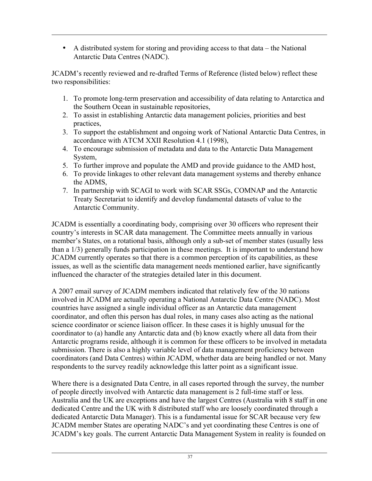• A distributed system for storing and providing access to that data – the National Antarctic Data Centres (NADC).

JCADM's recently reviewed and re-drafted Terms of Reference (listed below) reflect these two responsibilities:

- 1. To promote long-term preservation and accessibility of data relating to Antarctica and the Southern Ocean in sustainable repositories,
- 2. To assist in establishing Antarctic data management policies, priorities and best practices,
- 3. To support the establishment and ongoing work of National Antarctic Data Centres, in accordance with ATCM XXII Resolution 4.1 (1998),
- 4. To encourage submission of metadata and data to the Antarctic Data Management System,
- 5. To further improve and populate the AMD and provide guidance to the AMD host,
- 6. To provide linkages to other relevant data management systems and thereby enhance the ADMS,
- 7. In partnership with SCAGI to work with SCAR SSGs, COMNAP and the Antarctic Treaty Secretariat to identify and develop fundamental datasets of value to the Antarctic Community.

JCADM is essentially a coordinating body, comprising over 30 officers who represent their country's interests in SCAR data management. The Committee meets annually in various member's States, on a rotational basis, although only a sub-set of member states (usually less than a 1/3) generally funds participation in these meetings. It is important to understand how JCADM currently operates so that there is a common perception of its capabilities, as these issues, as well as the scientific data management needs mentioned earlier, have significantly influenced the character of the strategies detailed later in this document.

A 2007 email survey of JCADM members indicated that relatively few of the 30 nations involved in JCADM are actually operating a National Antarctic Data Centre (NADC). Most countries have assigned a single individual officer as an Antarctic data management coordinator, and often this person has dual roles, in many cases also acting as the national science coordinator or science liaison officer. In these cases it is highly unusual for the coordinator to (a) handle any Antarctic data and (b) know exactly where all data from their Antarctic programs reside, although it is common for these officers to be involved in metadata submission. There is also a highly variable level of data management proficiency between coordinators (and Data Centres) within JCADM, whether data are being handled or not. Many respondents to the survey readily acknowledge this latter point as a significant issue.

Where there is a designated Data Centre, in all cases reported through the survey, the number of people directly involved with Antarctic data management is 2 full-time staff or less. Australia and the UK are exceptions and have the largest Centres (Australia with 8 staff in one dedicated Centre and the UK with 8 distributed staff who are loosely coordinated through a dedicated Antarctic Data Manager). This is a fundamental issue for SCAR because very few JCADM member States are operating NADC's and yet coordinating these Centres is one of JCADM's key goals. The current Antarctic Data Management System in reality is founded on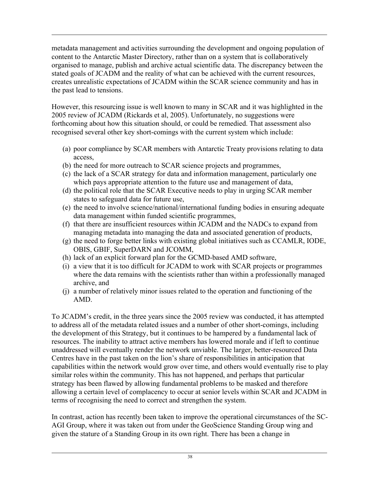metadata management and activities surrounding the development and ongoing population of content to the Antarctic Master Directory, rather than on a system that is collaboratively organised to manage, publish and archive actual scientific data. The discrepancy between the stated goals of JCADM and the reality of what can be achieved with the current resources, creates unrealistic expectations of JCADM within the SCAR science community and has in the past lead to tensions.

However, this resourcing issue is well known to many in SCAR and it was highlighted in the 2005 review of JCADM (Rickards et al, 2005). Unfortunately, no suggestions were forthcoming about how this situation should, or could be remedied. That assessment also recognised several other key short-comings with the current system which include:

- (a) poor compliance by SCAR members with Antarctic Treaty provisions relating to data access,
- (b) the need for more outreach to SCAR science projects and programmes,
- (c) the lack of a SCAR strategy for data and information management, particularly one which pays appropriate attention to the future use and management of data,
- (d) the political role that the SCAR Executive needs to play in urging SCAR member states to safeguard data for future use,
- (e) the need to involve science/national/international funding bodies in ensuring adequate data management within funded scientific programmes,
- (f) that there are insufficient resources within JCADM and the NADCs to expand from managing metadata into managing the data and associated generation of products,
- (g) the need to forge better links with existing global initiatives such as CCAMLR, IODE, OBIS, GBIF, SuperDARN and JCOMM,
- (h) lack of an explicit forward plan for the GCMD-based AMD software,
- (i) a view that it is too difficult for JCADM to work with SCAR projects or programmes where the data remains with the scientists rather than within a professionally managed archive, and
- (j) a number of relatively minor issues related to the operation and functioning of the AMD.

To JCADM's credit, in the three years since the 2005 review was conducted, it has attempted to address all of the metadata related issues and a number of other short-comings, including the development of this Strategy, but it continues to be hampered by a fundamental lack of resources. The inability to attract active members has lowered morale and if left to continue unaddressed will eventually render the network unviable. The larger, better-resourced Data Centres have in the past taken on the lion's share of responsibilities in anticipation that capabilities within the network would grow over time, and others would eventually rise to play similar roles within the community. This has not happened, and perhaps that particular strategy has been flawed by allowing fundamental problems to be masked and therefore allowing a certain level of complacency to occur at senior levels within SCAR and JCADM in terms of recognising the need to correct and strengthen the system.

In contrast, action has recently been taken to improve the operational circumstances of the SC-AGI Group, where it was taken out from under the GeoScience Standing Group wing and given the stature of a Standing Group in its own right. There has been a change in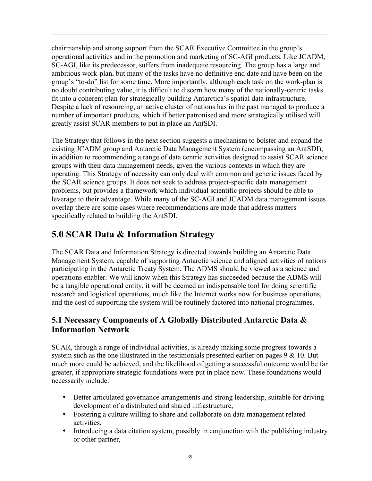chairmanship and strong support from the SCAR Executive Committee in the group's operational activities and in the promotion and marketing of SC-AGI products. Like JCADM, SC-AGI, like its predecessor, suffers from inadequate resourcing. The group has a large and ambitious work-plan, but many of the tasks have no definitive end date and have been on the group's "to-do" list for some time. More importantly, although each task on the work-plan is no doubt contributing value, it is difficult to discern how many of the nationally-centric tasks fit into a coherent plan for strategically building Antarctica's spatial data infrastructure. Despite a lack of resourcing, an active cluster of nations has in the past managed to produce a number of important products, which if better patronised and more strategically utilised will greatly assist SCAR members to put in place an AntSDI.

The Strategy that follows in the next section suggests a mechanism to bolster and expand the existing JCADM group and Antarctic Data Management System (encompassing an AntSDI), in addition to recommending a range of data centric activities designed to assist SCAR science groups with their data management needs, given the various contexts in which they are operating. This Strategy of necessity can only deal with common and generic issues faced by the SCAR science groups. It does not seek to address project-specific data management problems, but provides a framework which individual scientific projects should be able to leverage to their advantage. While many of the SC-AGI and JCADM data management issues overlap there are some cases where recommendations are made that address matters specifically related to building the AntSDI.

# 5.0 SCAR Data & Information Strategy

The SCAR Data and Information Strategy is directed towards building an Antarctic Data Management System, capable of supporting Antarctic science and aligned activities of nations participating in the Antarctic Treaty System. The ADMS should be viewed as a science and operations enabler. We will know when this Strategy has succeeded because the ADMS will be a tangible operational entity, it will be deemed an indispensable tool for doing scientific research and logistical operations, much like the Internet works now for business operations, and the cost of supporting the system will be routinely factored into national programmes.

## 5.1 Necessary Components of A Globally Distributed Antarctic Data & Information Network

SCAR, through a range of individual activities, is already making some progress towards a system such as the one illustrated in the testimonials presented earlier on pages 9 & 10. But much more could be achieved, and the likelihood of getting a successful outcome would be far greater, if appropriate strategic foundations were put in place now. These foundations would necessarily include:

- Better articulated governance arrangements and strong leadership, suitable for driving development of a distributed and shared infrastructure,
- Fostering a culture willing to share and collaborate on data management related activities,
- Introducing a data citation system, possibly in conjunction with the publishing industry or other partner,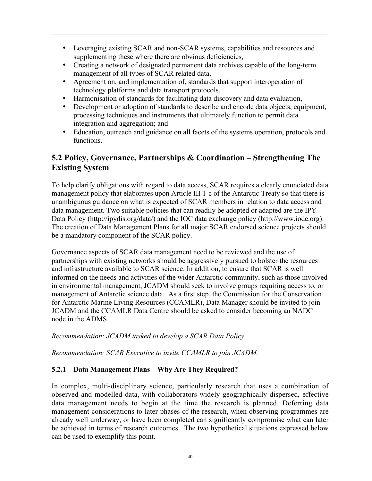- Leveraging existing SCAR and non-SCAR systems, capabilities and resources and supplementing these where there are obvious deficiencies,
- Creating a network of designated permanent data archives capable of the long-term management of all types of SCAR related data,
- Agreement on, and implementation of, standards that support interoperation of technology platforms and data transport protocols,
- Harmonisation of standards for facilitating data discovery and data evaluation,<br>• Development or adoption of standards to describe and encode data objects equ
- Development or adoption of standards to describe and encode data objects, equipment, processing techniques and instruments that ultimately function to permit data integration and aggregation; and
- Education, outreach and guidance on all facets of the systems operation, protocols and functions.

## 5.2 Policy, Governance, Partnerships & Coordination – Strengthening The Existing System

To help clarify obligations with regard to data access, SCAR requires a clearly enunciated data management policy that elaborates upon Article III 1-c of the Antarctic Treaty so that there is unambiguous guidance on what is expected of SCAR members in relation to data access and data management. Two suitable policies that can readily be adopted or adapted are the IPY Data Policy (http://ipydis.org/data/) and the IOC data exchange policy (http://www.iode.org). The creation of Data Management Plans for all major SCAR endorsed science projects should be a mandatory component of the SCAR policy.

Governance aspects of SCAR data management need to be reviewed and the use of partnerships with existing networks should be aggressively pursued to bolster the resources and infrastructure available to SCAR science. In addition, to ensure that SCAR is well informed on the needs and activities of the wider Antarctic community, such as those involved in environmental management, JCADM should seek to involve groups requiring access to, or management of Antarctic science data. As a first step, the Commission for the Conservation for Antarctic Marine Living Resources (CCAMLR), Data Manager should be invited to join JCADM and the CCAMLR Data Centre should be asked to consider becoming an NADC node in the ADMS.

#### *Recommendation: JCADM tasked to develop a SCAR Data Policy.*

*Recommendation: SCAR Executive to invite CCAMLR to join JCADM.*

#### 5.2.1 Data Management Plans – Why Are They Required?

In complex, multi-disciplinary science, particularly research that uses a combination of observed and modelled data, with collaborators widely geographically dispersed, effective data management needs to begin at the time the research is planned. Deferring data management considerations to later phases of the research, when observing programmes are already well underway, or have been completed can significantly compromise what can later be achieved in terms of research outcomes. The two hypothetical situations expressed below can be used to exemplify this point.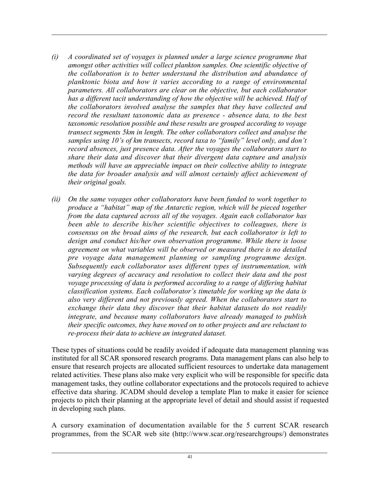- *(i) A coordinated set of voyages is planned under a large science programme that amongst other activities will collect plankton samples. One scientific objective of the collaboration is to better understand the distribution and abundance of planktonic biota and how it varies according to a range of environmental parameters. All collaborators are clear on the objective, but each collaborator has a different tacit understanding of how the objective will be achieved. Half of the collaborators involved analyse the samples that they have collected and record the resultant taxonomic data as presence - absence data, to the best taxonomic resolution possible and these results are grouped according to voyage transect segments 5km in length. The other collaborators collect and analyse the samples using 10's of km transects, record taxa to "family" level only, and don't record absences, just presence data. After the voyages the collaborators start to share their data and discover that their divergent data capture and analysis methods will have an appreciable impact on their collective ability to integrate the data for broader analysis and will almost certainly affect achievement of their original goals.*
- *(ii) On the same voyages other collaborators have been funded to work together to produce a "habitat" map of the Antarctic region, which will be pieced together from the data captured across all of the voyages. Again each collaborator has been able to describe his/her scientific objectives to colleagues, there is consensus on the broad aims of the research, but each collaborator is left to design and conduct his/her own observation programme. While there is loose agreement on what variables will be observed or measured there is no detailed pre voyage data management planning or sampling programme design. Subsequently each collaborator uses different types of instrumentation, with varying degrees of accuracy and resolution to collect their data and the post voyage processing of data is performed according to a range of differing habitat classification systems. Each collaborator's timetable for working up the data is also very different and not previously agreed. When the collaborators start to exchange their data they discover that their habitat datasets do not readily integrate, and because many collaborators have already managed to publish their specific outcomes, they have moved on to other projects and are reluctant to re-process their data to achieve an integrated dataset.*

These types of situations could be readily avoided if adequate data management planning was instituted for all SCAR sponsored research programs. Data management plans can also help to ensure that research projects are allocated sufficient resources to undertake data management related activities. These plans also make very explicit who will be responsible for specific data management tasks, they outline collaborator expectations and the protocols required to achieve effective data sharing. JCADM should develop a template Plan to make it easier for science projects to pitch their planning at the appropriate level of detail and should assist if requested in developing such plans.

A cursory examination of documentation available for the 5 current SCAR research programmes, from the SCAR web site (http://www.scar.org/researchgroups/) demonstrates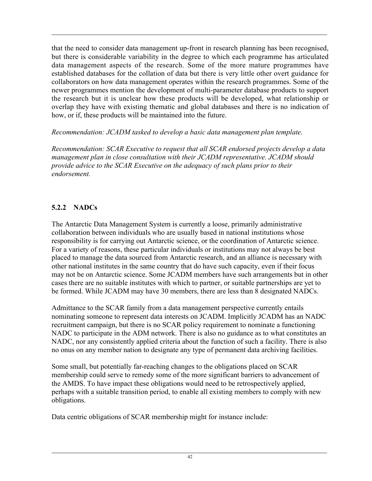that the need to consider data management up-front in research planning has been recognised, but there is considerable variability in the degree to which each programme has articulated data management aspects of the research. Some of the more mature programmes have established databases for the collation of data but there is very little other overt guidance for collaborators on how data management operates within the research programmes. Some of the newer programmes mention the development of multi-parameter database products to support the research but it is unclear how these products will be developed, what relationship or overlap they have with existing thematic and global databases and there is no indication of how, or if, these products will be maintained into the future.

*Recommendation: JCADM tasked to develop a basic data management plan template.*

*Recommendation: SCAR Executive to request that all SCAR endorsed projects develop a data management plan in close consultation with their JCADM representative. JCADM should provide advice to the SCAR Executive on the adequacy of such plans prior to their endorsement.*

#### 5.2.2 NADCs

The Antarctic Data Management System is currently a loose, primarily administrative collaboration between individuals who are usually based in national institutions whose responsibility is for carrying out Antarctic science, or the coordination of Antarctic science. For a variety of reasons, these particular individuals or institutions may not always be best placed to manage the data sourced from Antarctic research, and an alliance is necessary with other national institutes in the same country that do have such capacity, even if their focus may not be on Antarctic science. Some JCADM members have such arrangements but in other cases there are no suitable institutes with which to partner, or suitable partnerships are yet to be formed. While JCADM may have 30 members, there are less than 8 designated NADCs.

Admittance to the SCAR family from a data management perspective currently entails nominating someone to represent data interests on JCADM. Implicitly JCADM has an NADC recruitment campaign, but there is no SCAR policy requirement to nominate a functioning NADC to participate in the ADM network. There is also no guidance as to what constitutes an NADC, nor any consistently applied criteria about the function of such a facility. There is also no onus on any member nation to designate any type of permanent data archiving facilities.

Some small, but potentially far-reaching changes to the obligations placed on SCAR membership could serve to remedy some of the more significant barriers to advancement of the AMDS. To have impact these obligations would need to be retrospectively applied, perhaps with a suitable transition period, to enable all existing members to comply with new obligations.

Data centric obligations of SCAR membership might for instance include: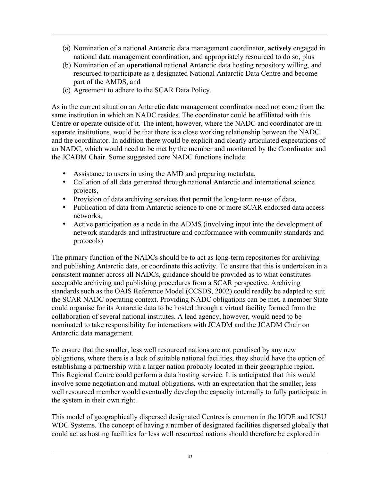- (a) Nomination of a national Antarctic data management coordinator, actively engaged in national data management coordination, and appropriately resourced to do so, plus
- (b) Nomination of an operational national Antarctic data hosting repository willing, and resourced to participate as a designated National Antarctic Data Centre and become part of the AMDS, and
- (c) Agreement to adhere to the SCAR Data Policy.

As in the current situation an Antarctic data management coordinator need not come from the same institution in which an NADC resides. The coordinator could be affiliated with this Centre or operate outside of it. The intent, however, where the NADC and coordinator are in separate institutions, would be that there is a close working relationship between the NADC and the coordinator. In addition there would be explicit and clearly articulated expectations of an NADC, which would need to be met by the member and monitored by the Coordinator and the JCADM Chair. Some suggested core NADC functions include:

- Assistance to users in using the AMD and preparing metadata,
- Collation of all data generated through national Antarctic and international science projects,
- Provision of data archiving services that permit the long-term re-use of data,
- Publication of data from Antarctic science to one or more SCAR endorsed data access networks,
- Active participation as a node in the ADMS (involving input into the development of network standards and infrastructure and conformance with community standards and protocols)

The primary function of the NADCs should be to act as long-term repositories for archiving and publishing Antarctic data, or coordinate this activity. To ensure that this is undertaken in a consistent manner across all NADCs, guidance should be provided as to what constitutes acceptable archiving and publishing procedures from a SCAR perspective. Archiving standards such as the OAIS Reference Model (CCSDS, 2002) could readily be adapted to suit the SCAR NADC operating context. Providing NADC obligations can be met, a member State could organise for its Antarctic data to be hosted through a virtual facility formed from the collaboration of several national institutes. A lead agency, however, would need to be nominated to take responsibility for interactions with JCADM and the JCADM Chair on Antarctic data management.

To ensure that the smaller, less well resourced nations are not penalised by any new obligations, where there is a lack of suitable national facilities, they should have the option of establishing a partnership with a larger nation probably located in their geographic region. This Regional Centre could perform a data hosting service. It is anticipated that this would involve some negotiation and mutual obligations, with an expectation that the smaller, less well resourced member would eventually develop the capacity internally to fully participate in the system in their own right.

This model of geographically dispersed designated Centres is common in the IODE and ICSU WDC Systems. The concept of having a number of designated facilities dispersed globally that could act as hosting facilities for less well resourced nations should therefore be explored in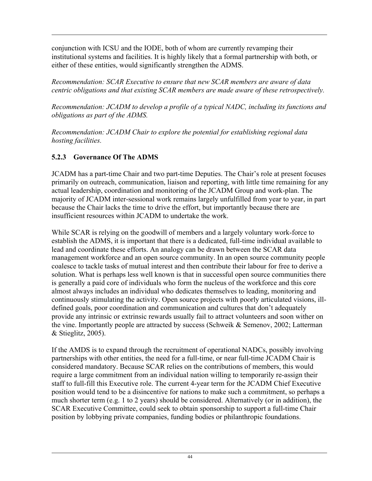conjunction with ICSU and the IODE, both of whom are currently revamping their institutional systems and facilities. It is highly likely that a formal partnership with both, or either of these entities, would significantly strengthen the ADMS.

*Recommendation: SCAR Executive to ensure that new SCAR members are aware of data centric obligations and that existing SCAR members are made aware of these retrospectively.*

*Recommendation: JCADM to develop a profile of a typical NADC, including its functions and obligations as part of the ADMS.*

*Recommendation: JCADM Chair to explore the potential for establishing regional data hosting facilities.*

#### 5.2.3 Governance Of The ADMS

JCADM has a part-time Chair and two part-time Deputies. The Chair's role at present focuses primarily on outreach, communication, liaison and reporting, with little time remaining for any actual leadership, coordination and monitoring of the JCADM Group and work-plan. The majority of JCADM inter-sessional work remains largely unfulfilled from year to year, in part because the Chair lacks the time to drive the effort, but importantly because there are insufficient resources within JCADM to undertake the work.

While SCAR is relying on the goodwill of members and a largely voluntary work-force to establish the ADMS, it is important that there is a dedicated, full-time individual available to lead and coordinate these efforts. An analogy can be drawn between the SCAR data management workforce and an open source community. In an open source community people coalesce to tackle tasks of mutual interest and then contribute their labour for free to derive a solution. What is perhaps less well known is that in successful open source communities there is generally a paid core of individuals who form the nucleus of the workforce and this core almost always includes an individual who dedicates themselves to leading, monitoring and continuously stimulating the activity. Open source projects with poorly articulated visions, illdefined goals, poor coordination and communication and cultures that don't adequately provide any intrinsic or extrinsic rewards usually fail to attract volunteers and soon wither on the vine. Importantly people are attracted by success (Schweik & Semenov, 2002; Latterman & Stieglitz, 2005).

If the AMDS is to expand through the recruitment of operational NADCs, possibly involving partnerships with other entities, the need for a full-time, or near full-time JCADM Chair is considered mandatory. Because SCAR relies on the contributions of members, this would require a large commitment from an individual nation willing to temporarily re-assign their staff to full-fill this Executive role. The current 4-year term for the JCADM Chief Executive position would tend to be a disincentive for nations to make such a commitment, so perhaps a much shorter term (e.g. 1 to 2 years) should be considered. Alternatively (or in addition), the SCAR Executive Committee, could seek to obtain sponsorship to support a full-time Chair position by lobbying private companies, funding bodies or philanthropic foundations.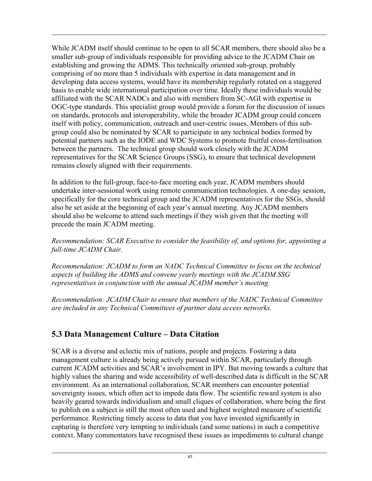While JCADM itself should continue to be open to all SCAR members, there should also be a smaller sub-group of individuals responsible for providing advice to the JCADM Chair on establishing and growing the ADMS. This technically oriented sub-group, probably comprising of no more than 5 individuals with expertise in data management and in developing data access systems, would have its membership regularly rotated on a staggered basis to enable wide international participation over time. Ideally these individuals would be affiliated with the SCAR NADCs and also with members from SC-AGI with expertise in OGC-type standards. This specialist group would provide a forum for the discussion of issues on standards, protocols and interoperability, while the broader JCADM group could concern itself with policy, communication, outreach and user-centric issues. Members of this subgroup could also be nominated by SCAR to participate in any technical bodies formed by potential partners such as the IODE and WDC Systems to promote fruitful cross-fertilisation between the partners. The technical group should work closely with the JCADM representatives for the SCAR Science Groups (SSG), to ensure that technical development remains closely aligned with their requirements.

In addition to the full-group, face-to-face meeting each year, JCADM members should undertake inter-sessional work using remote communication technologies. A one-day session, specifically for the core technical group and the JCADM representatives for the SSGs, should also be set aside at the beginning of each year's annual meeting. Any JCADM members should also be welcome to attend such meetings if they wish given that the meeting will precede the main JCADM meeting.

*Recommendation: SCAR Executive to consider the feasibility of, and options for, appointing a full-time JCADM Chair.*

*Recommendation: JCADM to form an NADC Technical Committee to focus on the technical aspects of building the ADMS and convene yearly meetings with the JCADM SSG representatives in conjunction with the annual JCADM member's meeting.*

*Recommendation: JCADM Chair to ensure that members of the NADC Technical Committee are included in any Technical Committees of partner data access networks.*

## 5.3 Data Management Culture – Data Citation

SCAR is a diverse and eclectic mix of nations, people and projects. Fostering a data management culture is already being actively pursued within SCAR, particularly through current JCADM activities and SCAR's involvement in IPY. But moving towards a culture that highly values the sharing and wide accessibility of well-described data is difficult in the SCAR environment. As an international collaboration, SCAR members can encounter potential sovereignty issues, which often act to impede data flow. The scientific reward system is also heavily geared towards individualism and small cliques of collaboration, where being the first to publish on a subject is still the most often used and highest weighted measure of scientific performance. Restricting timely access to data that you have invested significantly in capturing is therefore very tempting to individuals (and some nations) in such a competitive context. Many commentators have recognised these issues as impediments to cultural change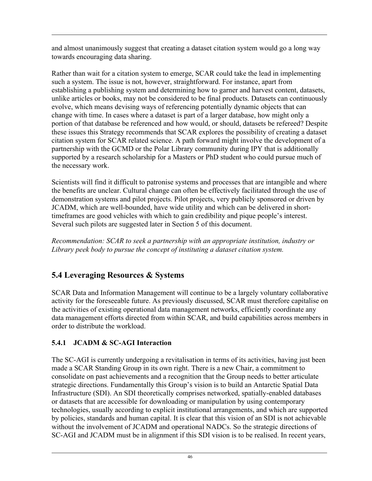and almost unanimously suggest that creating a dataset citation system would go a long way towards encouraging data sharing.

Rather than wait for a citation system to emerge, SCAR could take the lead in implementing such a system. The issue is not, however, straightforward. For instance, apart from establishing a publishing system and determining how to garner and harvest content, datasets, unlike articles or books, may not be considered to be final products. Datasets can continuously evolve, which means devising ways of referencing potentially dynamic objects that can change with time. In cases where a dataset is part of a larger database, how might only a portion of that database be referenced and how would, or should, datasets be refereed? Despite these issues this Strategy recommends that SCAR explores the possibility of creating a dataset citation system for SCAR related science. A path forward might involve the development of a partnership with the GCMD or the Polar Library community during IPY that is additionally supported by a research scholarship for a Masters or PhD student who could pursue much of the necessary work.

Scientists will find it difficult to patronise systems and processes that are intangible and where the benefits are unclear. Cultural change can often be effectively facilitated through the use of demonstration systems and pilot projects. Pilot projects, very publicly sponsored or driven by JCADM, which are well-bounded, have wide utility and which can be delivered in shorttimeframes are good vehicles with which to gain credibility and pique people's interest. Several such pilots are suggested later in Section 5 of this document.

*Recommendation: SCAR to seek a partnership with an appropriate institution, industry or Library peek body to pursue the concept of instituting a dataset citation system.*

# 5.4 Leveraging Resources & Systems

SCAR Data and Information Management will continue to be a largely voluntary collaborative activity for the foreseeable future. As previously discussed, SCAR must therefore capitalise on the activities of existing operational data management networks, efficiently coordinate any data management efforts directed from within SCAR, and build capabilities across members in order to distribute the workload.

## 5.4.1 JCADM & SC-AGI Interaction

The SC-AGI is currently undergoing a revitalisation in terms of its activities, having just been made a SCAR Standing Group in its own right. There is a new Chair, a commitment to consolidate on past achievements and a recognition that the Group needs to better articulate strategic directions. Fundamentally this Group's vision is to build an Antarctic Spatial Data Infrastructure (SDI). An SDI theoretically comprises networked, spatially-enabled databases or datasets that are accessible for downloading or manipulation by using contemporary technologies, usually according to explicit institutional arrangements, and which are supported by policies, standards and human capital. It is clear that this vision of an SDI is not achievable without the involvement of JCADM and operational NADCs. So the strategic directions of SC-AGI and JCADM must be in alignment if this SDI vision is to be realised. In recent years,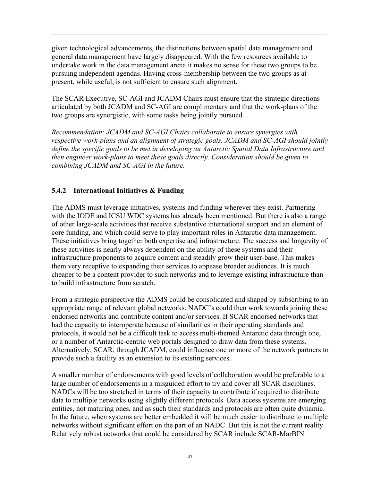given technological advancements, the distinctions between spatial data management and general data management have largely disappeared. With the few resources available to undertake work in the data management arena it makes no sense for these two groups to be pursuing independent agendas. Having cross-membership between the two groups as at present, while useful, is not sufficient to ensure such alignment.

The SCAR Executive, SC-AGI and JCADM Chairs must ensure that the strategic directions articulated by both JCADM and SC-AGI are complimentary and that the work-plans of the two groups are synergistic, with some tasks being jointly pursued.

*Recommendation: JCADM and SC-AGI Chairs collaborate to ensure synergies with respective work-plans and an alignment of strategic goals. JCADM and SC-AGI should jointly define the specific goals to be met in developing an Antarctic Spatial Data Infrastructure and then engineer work-plans to meet these goals directly. Consideration should be given to combining JCADM and SC-AGI in the future.*

### 5.4.2 International Initiatives & Funding

The ADMS must leverage initiatives, systems and funding wherever they exist. Partnering with the IODE and ICSU WDC systems has already been mentioned. But there is also a range of other large-scale activities that receive substantive international support and an element of core funding, and which could serve to play important roles in Antarctic data management. These initiatives bring together both expertise and infrastructure. The success and longevity of these activities is nearly always dependent on the ability of these systems and their infrastructure proponents to acquire content and steadily grow their user-base. This makes them very receptive to expanding their services to appease broader audiences. It is much cheaper to be a content provider to such networks and to leverage existing infrastructure than to build infrastructure from scratch.

From a strategic perspective the ADMS could be consolidated and shaped by subscribing to an appropriate range of relevant global networks. NADC's could then work towards joining these endorsed networks and contribute content and/or services. If SCAR endorsed networks that had the capacity to interoperate because of similarities in their operating standards and protocols, it would not be a difficult task to access multi-themed Antarctic data through one, or a number of Antarctic-centric web portals designed to draw data from these systems. Alternatively, SCAR, through JCADM, could influence one or more of the network partners to provide such a facility as an extension to its existing services.

A smaller number of endorsements with good levels of collaboration would be preferable to a large number of endorsements in a misguided effort to try and cover all SCAR disciplines. NADCs will be too stretched in terms of their capacity to contribute if required to distribute data to multiple networks using slightly different protocols. Data access systems are emerging entities, not maturing ones, and as such their standards and protocols are often quite dynamic. In the future, when systems are better embedded it will be much easier to distribute to multiple networks without significant effort on the part of an NADC. But this is not the current reality. Relatively robust networks that could be considered by SCAR include SCAR-MarBIN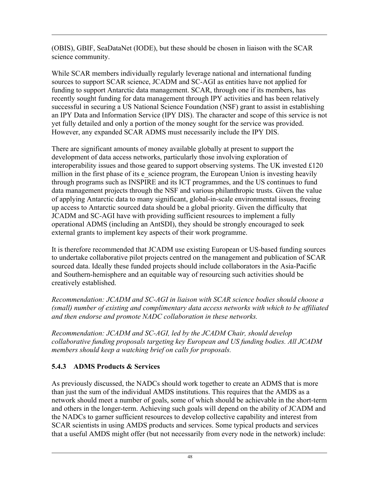(OBIS), GBIF, SeaDataNet (IODE), but these should be chosen in liaison with the SCAR science community.

While SCAR members individually regularly leverage national and international funding sources to support SCAR science, JCADM and SC-AGI as entities have not applied for funding to support Antarctic data management. SCAR, through one if its members, has recently sought funding for data management through IPY activities and has been relatively successful in securing a US National Science Foundation (NSF) grant to assist in establishing an IPY Data and Information Service (IPY DIS). The character and scope of this service is not yet fully detailed and only a portion of the money sought for the service was provided. However, any expanded SCAR ADMS must necessarily include the IPY DIS.

There are significant amounts of money available globally at present to support the development of data access networks, particularly those involving exploration of interoperability issues and those geared to support observing systems. The UK invested £120 million in the first phase of its e\_science program, the European Union is investing heavily through programs such as INSPIRE and its ICT programmes, and the US continues to fund data management projects through the NSF and various philanthropic trusts. Given the value of applying Antarctic data to many significant, global-in-scale environmental issues, freeing up access to Antarctic sourced data should be a global priority. Given the difficulty that JCADM and SC-AGI have with providing sufficient resources to implement a fully operational ADMS (including an AntSDI), they should be strongly encouraged to seek external grants to implement key aspects of their work programme.

It is therefore recommended that JCADM use existing European or US-based funding sources to undertake collaborative pilot projects centred on the management and publication of SCAR sourced data. Ideally these funded projects should include collaborators in the Asia-Pacific and Southern-hemisphere and an equitable way of resourcing such activities should be creatively established.

*Recommendation: JCADM and SC-AGI in liaison with SCAR science bodies should choose a (small) number of existing and complimentary data access networks with which to be affiliated and then endorse and promote NADC collaboration in these networks.*

*Recommendation: JCADM and SC-AGI, led by the JCADM Chair, should develop collaborative funding proposals targeting key European and US funding bodies. All JCADM members should keep a watching brief on calls for proposals.*

#### 5.4.3 ADMS Products & Services

As previously discussed, the NADCs should work together to create an ADMS that is more than just the sum of the individual AMDS institutions. This requires that the AMDS as a network should meet a number of goals, some of which should be achievable in the short-term and others in the longer-term. Achieving such goals will depend on the ability of JCADM and the NADCs to garner sufficient resources to develop collective capability and interest from SCAR scientists in using AMDS products and services. Some typical products and services that a useful AMDS might offer (but not necessarily from every node in the network) include: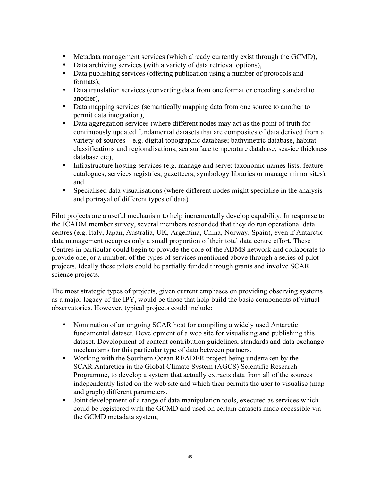- Metadata management services (which already currently exist through the GCMD),
- Data archiving services (with a variety of data retrieval options),
- Data publishing services (offering publication using a number of protocols and formats),
- Data translation services (converting data from one format or encoding standard to another),
- Data mapping services (semantically mapping data from one source to another to permit data integration),
- Data aggregation services (where different nodes may act as the point of truth for continuously updated fundamental datasets that are composites of data derived from a variety of sources – e.g. digital topographic database; bathymetric database, habitat classifications and regionalisations; sea surface temperature database; sea-ice thickness database etc),
- Infrastructure hosting services (e.g. manage and serve: taxonomic names lists; feature catalogues; services registries; gazetteers; symbology libraries or manage mirror sites), and
- Specialised data visualisations (where different nodes might specialise in the analysis and portrayal of different types of data)

Pilot projects are a useful mechanism to help incrementally develop capability. In response to the JCADM member survey, several members responded that they do run operational data centres (e.g. Italy, Japan, Australia, UK, Argentina, China, Norway, Spain), even if Antarctic data management occupies only a small proportion of their total data centre effort. These Centres in particular could begin to provide the core of the ADMS network and collaborate to provide one, or a number, of the types of services mentioned above through a series of pilot projects. Ideally these pilots could be partially funded through grants and involve SCAR science projects.

The most strategic types of projects, given current emphases on providing observing systems as a major legacy of the IPY, would be those that help build the basic components of virtual observatories. However, typical projects could include:

- Nomination of an ongoing SCAR host for compiling a widely used Antarctic fundamental dataset. Development of a web site for visualising and publishing this dataset. Development of content contribution guidelines, standards and data exchange mechanisms for this particular type of data between partners.
- Working with the Southern Ocean READER project being undertaken by the SCAR Antarctica in the Global Climate System (AGCS) Scientific Research Programme, to develop a system that actually extracts data from all of the sources independently listed on the web site and which then permits the user to visualise (map and graph) different parameters.
- Joint development of a range of data manipulation tools, executed as services which could be registered with the GCMD and used on certain datasets made accessible via the GCMD metadata system,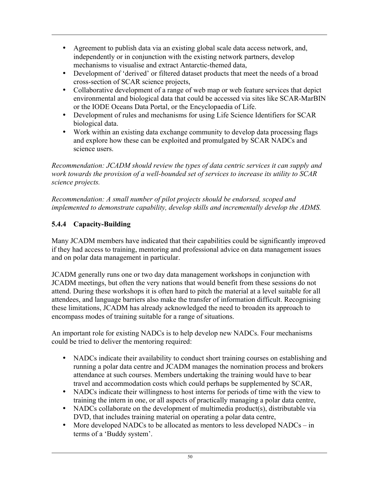- Agreement to publish data via an existing global scale data access network, and, independently or in conjunction with the existing network partners, develop mechanisms to visualise and extract Antarctic-themed data,
- Development of 'derived' or filtered dataset products that meet the needs of a broad cross-section of SCAR science projects,
- Collaborative development of a range of web map or web feature services that depict environmental and biological data that could be accessed via sites like SCAR-MarBIN or the IODE Oceans Data Portal, or the Encyclopaedia of Life.
- Development of rules and mechanisms for using Life Science Identifiers for SCAR biological data.
- Work within an existing data exchange community to develop data processing flags and explore how these can be exploited and promulgated by SCAR NADCs and science users.

*Recommendation: JCADM should review the types of data centric services it can supply and work towards the provision of a well-bounded set of services to increase its utility to SCAR science projects.*

*Recommendation: A small number of pilot projects should be endorsed, scoped and implemented to demonstrate capability, develop skills and incrementally develop the ADMS.*

#### 5.4.4 Capacity-Building

Many JCADM members have indicated that their capabilities could be significantly improved if they had access to training, mentoring and professional advice on data management issues and on polar data management in particular.

JCADM generally runs one or two day data management workshops in conjunction with JCADM meetings, but often the very nations that would benefit from these sessions do not attend. During these workshops it is often hard to pitch the material at a level suitable for all attendees, and language barriers also make the transfer of information difficult. Recognising these limitations, JCADM has already acknowledged the need to broaden its approach to encompass modes of training suitable for a range of situations.

An important role for existing NADCs is to help develop new NADCs. Four mechanisms could be tried to deliver the mentoring required:

- NADCs indicate their availability to conduct short training courses on establishing and running a polar data centre and JCADM manages the nomination process and brokers attendance at such courses. Members undertaking the training would have to bear travel and accommodation costs which could perhaps be supplemented by SCAR,
- NADCs indicate their willingness to host interns for periods of time with the view to training the intern in one, or all aspects of practically managing a polar data centre,
- NADCs collaborate on the development of multimedia product(s), distributable via DVD, that includes training material on operating a polar data centre,
- More developed NADCs to be allocated as mentors to less developed NADCs  $-$  in terms of a 'Buddy system'.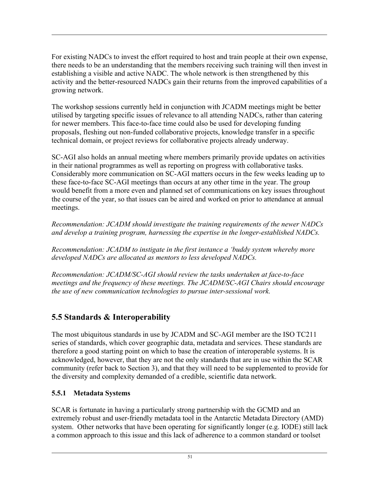For existing NADCs to invest the effort required to host and train people at their own expense, there needs to be an understanding that the members receiving such training will then invest in establishing a visible and active NADC. The whole network is then strengthened by this activity and the better-resourced NADCs gain their returns from the improved capabilities of a growing network.

The workshop sessions currently held in conjunction with JCADM meetings might be better utilised by targeting specific issues of relevance to all attending NADCs, rather than catering for newer members. This face-to-face time could also be used for developing funding proposals, fleshing out non-funded collaborative projects, knowledge transfer in a specific technical domain, or project reviews for collaborative projects already underway.

SC-AGI also holds an annual meeting where members primarily provide updates on activities in their national programmes as well as reporting on progress with collaborative tasks. Considerably more communication on SC-AGI matters occurs in the few weeks leading up to these face-to-face SC-AGI meetings than occurs at any other time in the year. The group would benefit from a more even and planned set of communications on key issues throughout the course of the year, so that issues can be aired and worked on prior to attendance at annual meetings.

*Recommendation: JCADM should investigate the training requirements of the newer NADCs and develop a training program, harnessing the expertise in the longer-established NADCs.*

*Recommendation: JCADM to instigate in the first instance a 'buddy system whereby more developed NADCs are allocated as mentors to less developed NADCs.*

*Recommendation: JCADM/SC-AGI should review the tasks undertaken at face-to-face meetings and the frequency of these meetings. The JCADM/SC-AGI Chairs should encourage the use of new communication technologies to pursue inter-sessional work.*

# 5.5 Standards & Interoperability

The most ubiquitous standards in use by JCADM and SC-AGI member are the ISO TC211 series of standards, which cover geographic data, metadata and services. These standards are therefore a good starting point on which to base the creation of interoperable systems. It is acknowledged, however, that they are not the only standards that are in use within the SCAR community (refer back to Section 3), and that they will need to be supplemented to provide for the diversity and complexity demanded of a credible, scientific data network.

#### 5.5.1 Metadata Systems

SCAR is fortunate in having a particularly strong partnership with the GCMD and an extremely robust and user-friendly metadata tool in the Antarctic Metadata Directory (AMD) system. Other networks that have been operating for significantly longer (e.g. IODE) still lack a common approach to this issue and this lack of adherence to a common standard or toolset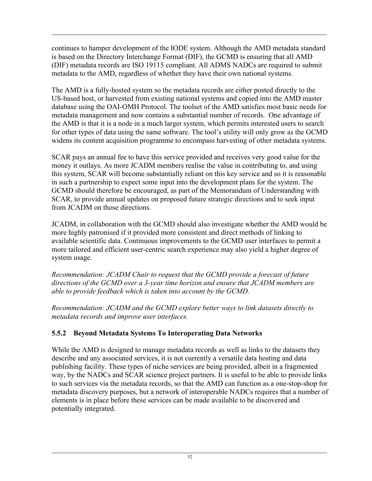continues to hamper development of the IODE system. Although the AMD metadata standard is based on the Directory Interchange Format (DIF), the GCMD is ensuring that all AMD (DIF) metadata records are ISO 19115 compliant. All ADMS NADCs are required to submit metadata to the AMD, regardless of whether they have their own national systems.

The AMD is a fully-hosted system so the metadata records are either posted directly to the US-based host, or harvested from existing national systems and copied into the AMD master database using the OAI-OMH Protocol. The toolset of the AMD satisfies most basic needs for metadata management and now contains a substantial number of records. One advantage of the AMD is that it is a node in a much larger system, which permits interested users to search for other types of data using the same software. The tool's utility will only grow as the GCMD widens its content acquisition programme to encompass harvesting of other metadata systems.

SCAR pays an annual fee to have this service provided and receives very good value for the money it outlays. As more JCADM members realise the value in contributing to, and using this system, SCAR will become substantially reliant on this key service and so it is reasonable in such a partnership to expect some input into the development plans for the system. The GCMD should therefore be encouraged, as part of the Memorandum of Understanding with SCAR, to provide annual updates on proposed future strategic directions and to seek input from JCADM on those directions.

JCADM, in collaboration with the GCMD should also investigate whether the AMD would be more highly patronised if it provided more consistent and direct methods of linking to available scientific data. Continuous improvements to the GCMD user interfaces to permit a more tailored and efficient user-centric search experience may also yield a higher degree of system usage.

*Recommendation: JCADM Chair to request that the GCMD provide a forecast of future directions of the GCMD over a 3-year time horizon and ensure that JCADM members are able to provide feedback which is taken into account by the GCMD.*

*Recommendation: JCADM and the GCMD explore better ways to link datasets directly to metadata records and improve user interfaces.*

#### 5.5.2 Beyond Metadata Systems To Interoperating Data Networks

While the AMD is designed to manage metadata records as well as links to the datasets they describe and any associated services, it is not currently a versatile data hosting and data publishing facility. These types of niche services are being provided, albeit in a fragmented way, by the NADCs and SCAR science project partners. It is useful to be able to provide links to such services via the metadata records, so that the AMD can function as a one-stop-shop for metadata discovery purposes, but a network of interoperable NADCs requires that a number of elements is in place before these services can be made available to be discovered and potentially integrated.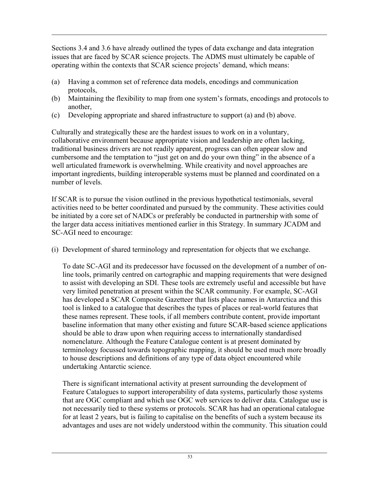Sections 3.4 and 3.6 have already outlined the types of data exchange and data integration issues that are faced by SCAR science projects. The ADMS must ultimately be capable of operating within the contexts that SCAR science projects' demand, which means:

- (a) Having a common set of reference data models, encodings and communication protocols,
- (b) Maintaining the flexibility to map from one system's formats, encodings and protocols to another,
- (c) Developing appropriate and shared infrastructure to support (a) and (b) above.

Culturally and strategically these are the hardest issues to work on in a voluntary, collaborative environment because appropriate vision and leadership are often lacking, traditional business drivers are not readily apparent, progress can often appear slow and cumbersome and the temptation to "just get on and do your own thing" in the absence of a well articulated framework is overwhelming. While creativity and novel approaches are important ingredients, building interoperable systems must be planned and coordinated on a number of levels.

If SCAR is to pursue the vision outlined in the previous hypothetical testimonials, several activities need to be better coordinated and pursued by the community. These activities could be initiated by a core set of NADCs or preferably be conducted in partnership with some of the larger data access initiatives mentioned earlier in this Strategy. In summary JCADM and SC-AGI need to encourage:

(i) Development of shared terminology and representation for objects that we exchange.

To date SC-AGI and its predecessor have focussed on the development of a number of online tools, primarily centred on cartographic and mapping requirements that were designed to assist with developing an SDI. These tools are extremely useful and accessible but have very limited penetration at present within the SCAR community. For example, SC-AGI has developed a SCAR Composite Gazetteer that lists place names in Antarctica and this tool is linked to a catalogue that describes the types of places or real-world features that these names represent. These tools, if all members contribute content, provide important baseline information that many other existing and future SCAR-based science applications should be able to draw upon when requiring access to internationally standardised nomenclature. Although the Feature Catalogue content is at present dominated by terminology focussed towards topographic mapping, it should be used much more broadly to house descriptions and definitions of any type of data object encountered while undertaking Antarctic science.

There is significant international activity at present surrounding the development of Feature Catalogues to support interoperability of data systems, particularly those systems that are OGC compliant and which use OGC web services to deliver data. Catalogue use is not necessarily tied to these systems or protocols. SCAR has had an operational catalogue for at least 2 years, but is failing to capitalise on the benefits of such a system because its advantages and uses are not widely understood within the community. This situation could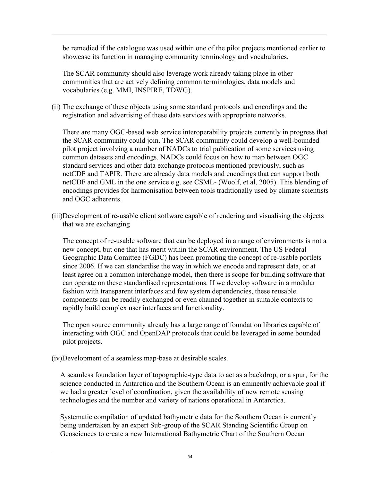be remedied if the catalogue was used within one of the pilot projects mentioned earlier to showcase its function in managing community terminology and vocabularies.

The SCAR community should also leverage work already taking place in other communities that are actively defining common terminologies, data models and vocabularies (e.g. MMI, INSPIRE, TDWG).

(ii) The exchange of these objects using some standard protocols and encodings and the registration and advertising of these data services with appropriate networks.

There are many OGC-based web service interoperability projects currently in progress that the SCAR community could join. The SCAR community could develop a well-bounded pilot project involving a number of NADCs to trial publication of some services using common datasets and encodings. NADCs could focus on how to map between OGC standard services and other data exchange protocols mentioned previously, such as netCDF and TAPIR. There are already data models and encodings that can support both netCDF and GML in the one service e.g. see CSML- (Woolf, et al, 2005). This blending of encodings provides for harmonisation between tools traditionally used by climate scientists and OGC adherents.

(iii)Development of re-usable client software capable of rendering and visualising the objects that we are exchanging

The concept of re-usable software that can be deployed in a range of environments is not a new concept, but one that has merit within the SCAR environment. The US Federal Geographic Data Comittee (FGDC) has been promoting the concept of re-usable portlets since 2006. If we can standardise the way in which we encode and represent data, or at least agree on a common interchange model, then there is scope for building software that can operate on these standardised representations. If we develop software in a modular fashion with transparent interfaces and few system dependencies, these reusable components can be readily exchanged or even chained together in suitable contexts to rapidly build complex user interfaces and functionality.

The open source community already has a large range of foundation libraries capable of interacting with OGC and OpenDAP protocols that could be leveraged in some bounded pilot projects.

(iv)Development of a seamless map-base at desirable scales.

A seamless foundation layer of topographic-type data to act as a backdrop, or a spur, for the science conducted in Antarctica and the Southern Ocean is an eminently achievable goal if we had a greater level of coordination, given the availability of new remote sensing technologies and the number and variety of nations operational in Antarctica.

Systematic compilation of updated bathymetric data for the Southern Ocean is currently being undertaken by an expert Sub-group of the SCAR Standing Scientific Group on Geosciences to create a new International Bathymetric Chart of the Southern Ocean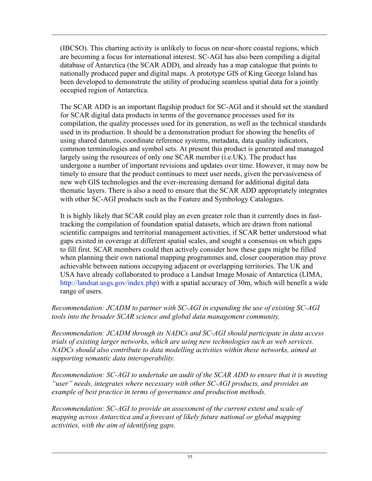(IBCSO). This charting activity is unlikely to focus on near-shore coastal regions, which are becoming a focus for international interest. SC-AGI has also been compiling a digital database of Antarctica (the SCAR ADD), and already has a map catalogue that points to nationally produced paper and digital maps. A prototype GIS of King George Island has been developed to demonstrate the utility of producing seamless spatial data for a jointly occupied region of Antarctica.

The SCAR ADD is an important flagship product for SC-AGI and it should set the standard for SCAR digital data products in terms of the governance processes used for its compilation, the quality processes used for its generation, as well as the technical standards used in its production. It should be a demonstration product for showing the benefits of using shared datums, coordinate reference systems, metadata, data quality indicators, common terminologies and symbol sets. At present this product is generated and managed largely using the resources of only one SCAR member (i.e.UK). The product has undergone a number of important revisions and updates over time. However, it may now be timely to ensure that the product continues to meet user needs, given the pervasiveness of new web GIS technologies and the ever-increasing demand for additional digital data thematic layers. There is also a need to ensure that the SCAR ADD appropriately integrates with other SC-AGI products such as the Feature and Symbology Catalogues.

It is highly likely that SCAR could play an even greater role than it currently does in fasttracking the compilation of foundation spatial datasets, which are drawn from national scientific campaigns and territorial management activities, if SCAR better understood what gaps existed in coverage at different spatial scales, and sought a consensus on which gaps to fill first. SCAR members could then actively consider how these gaps might be filled when planning their own national mapping programmes and, closer cooperation may prove achievable between nations occupying adjacent or overlapping territories. The UK and USA have already collaborated to produce a Landsat Image Mosaic of Antarctica (LIMA, http://landsat.usgs.gov/index.php) with a spatial accuracy of 30m, which will benefit a wide range of users.

*Recommendation: JCADM to partner with SC-AGI in expanding the use of existing SC-AGI tools into the broader SCAR science and global data management community.*

*Recommendation: JCADM through its NADCs and SC-AGI should participate in data access trials of existing larger networks, which are using new technologies such as web services. NADCs should also contribute to data modelling activities within these networks, aimed at supporting semantic data interoperability.*

*Recommendation: SC-AGI to undertake an audit of the SCAR ADD to ensure that it is meeting "user" needs, integrates where necessary with other SC-AGI products, and provides an example of best practice in terms of governance and production methods.*

*Recommendation: SC-AGI to provide an assessment of the current extent and scale of mapping across Antarctica and a forecast of likely future national or global mapping activities, with the aim of identifying gaps.*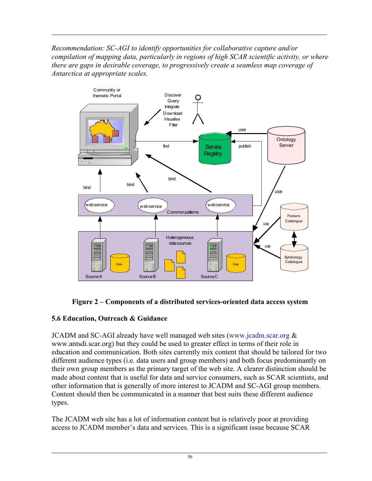*Recommendation: SC-AGI to identify opportunities for collaborative capture and/or compilation of mapping data, particularly in regions of high SCAR scientific activity, or where there are gaps in desirable coverage, to progressively create a seamless map coverage of Antarctica at appropriate scales.*





#### 5.6 Education, Outreach & Guidance

JCADM and SC-AGI already have well managed web sites (www.jcadm.scar.org  $\&$ www.antsdi.scar.org) but they could be used to greater effect in terms of their role in education and communication. Both sites currently mix content that should be tailored for two different audience types (i.e. data users and group members) and both focus predominantly on their own group members as the primary target of the web site. A clearer distinction should be made about content that is useful for data and service consumers, such as SCAR scientists, and other information that is generally of more interest to JCADM and SC-AGI group members. Content should then be communicated in a manner that best suits these different audience types.

The JCADM web site has a lot of information content but is relatively poor at providing access to JCADM member's data and services. This is a significant issue because SCAR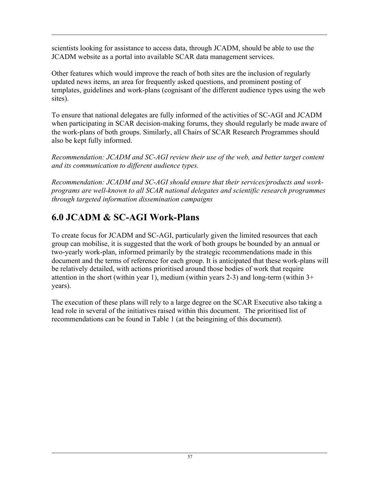scientists looking for assistance to access data, through JCADM, should be able to use the JCADM website as a portal into available SCAR data management services.

Other features which would improve the reach of both sites are the inclusion of regularly updated news items, an area for frequently asked questions, and prominent posting of templates, guidelines and work-plans (cognisant of the different audience types using the web sites).

To ensure that national delegates are fully informed of the activities of SC-AGI and JCADM when participating in SCAR decision-making forums, they should regularly be made aware of the work-plans of both groups. Similarly, all Chairs of SCAR Research Programmes should also be kept fully informed.

*Recommendation: JCADM and SC-AGI review their use of the web, and better target content and its communication to different audience types.*

*Recommendation: JCADM and SC-AGI should ensure that their services/products and workprograms are well-known to all SCAR national delegates and scientific research programmes through targeted information dissemination campaigns*

# 6.0 JCADM & SC-AGI Work-Plans

To create focus for JCADM and SC-AGI, particularly given the limited resources that each group can mobilise, it is suggested that the work of both groups be bounded by an annual or two-yearly work-plan, informed primarily by the strategic recommendations made in this document and the terms of reference for each group. It is anticipated that these work-plans will be relatively detailed, with actions prioritised around those bodies of work that require attention in the short (within year 1), medium (within years 2-3) and long-term (within 3+ years).

The execution of these plans will rely to a large degree on the SCAR Executive also taking a lead role in several of the initiatives raised within this document. The prioritised list of recommendations can be found in Table 1 (at the beingining of this document).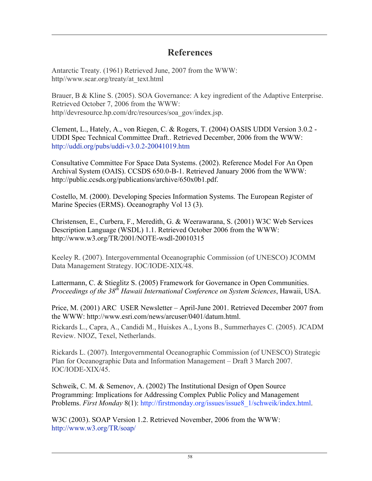# **References**

Antarctic Treaty. (1961) Retrieved June, 2007 from the WWW: http//www.scar.org/treaty/at\_text.html

Brauer, B & Kline S. (2005). SOA Governance: A key ingredient of the Adaptive Enterprise. Retrieved October 7, 2006 from the WWW: http//devresource.hp.com/drc/resources/soa\_gov/index.jsp.

Clement, L., Hately, A., von Riegen, C. & Rogers, T. (2004) OASIS UDDI Version 3.0.2 - UDDI Spec Technical Committee Draft.. Retrieved December, 2006 from the WWW: http://uddi.org/pubs/uddi-v3.0.2-20041019.htm

Consultative Committee For Space Data Systems. (2002). Reference Model For An Open Archival System (OAIS). CCSDS 650.0-B-1. Retrieved January 2006 from the WWW: http://public.ccsds.org/publications/archive/650x0b1.pdf.

Costello, M. (2000). Developing Species Information Systems. The European Register of Marine Species (ERMS). Oceanography Vol 13 (3).

Christensen, E., Curbera, F., Meredith, G. & Weerawarana, S. (2001) W3C Web Services Description Language (WSDL) 1.1. Retrieved October 2006 from the WWW: http://www.w3.org/TR/2001/NOTE-wsdl-20010315

Keeley R. (2007). Intergovernmental Oceanographic Commission (of UNESCO) JCOMM Data Management Strategy. IOC/IODE-XIX/48.

Lattermann, C. & Stieglitz S. (2005) Framework for Governance in Open Communities. *Proceedings of the 38th Hawaii International Conference on System Sciences*, Hawaii, USA.

Price, M. (2001) ARC USER Newsletter – April-June 2001. Retrieved December 2007 from the WWW: http://www.esri.com/news/arcuser/0401/datum.html.

Rickards L., Capra, A., Candidi M., Huiskes A., Lyons B., Summerhayes C. (2005). JCADM Review. NIOZ, Texel, Netherlands.

Rickards L. (2007). Intergovernmental Oceanographic Commission (of UNESCO) Strategic Plan for Oceanographic Data and Information Management – Draft 3 March 2007. IOC/IODE-XIX/45.

Schweik, C. M. & Semenov, A. (2002) The Institutional Design of Open Source Programming: Implications for Addressing Complex Public Policy and Management Problems. *First Monday* 8(1): http://firstmonday.org/issues/issue8\_1/schweik/index.html.

W3C (2003). SOAP Version 1.2. Retrieved November, 2006 from the WWW: http://www.w3.org/TR/soap/